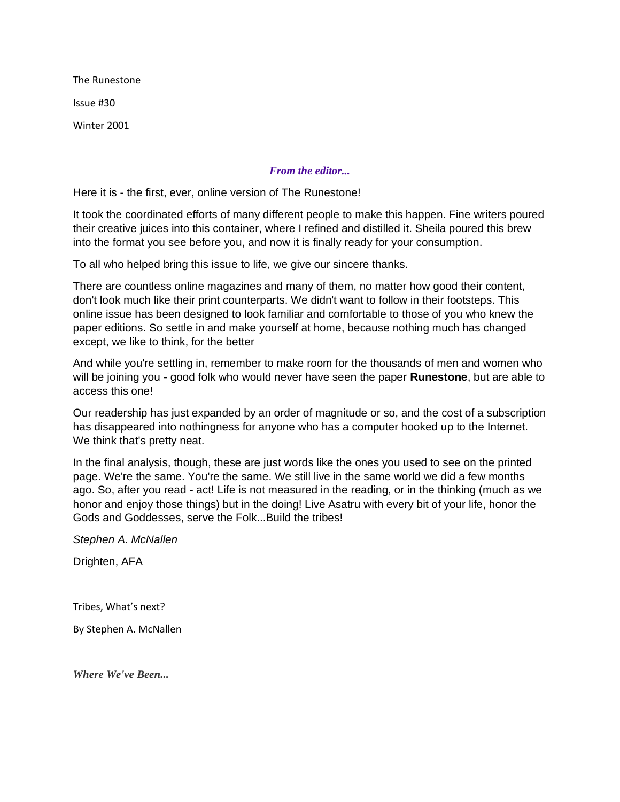The Runestone Issue #30 Winter 2001

# *From the editor...*

Here it is - the first, ever, online version of The Runestone!

It took the coordinated efforts of many different people to make this happen. Fine writers poured their creative juices into this container, where I refined and distilled it. Sheila poured this brew into the format you see before you, and now it is finally ready for your consumption.

To all who helped bring this issue to life, we give our sincere thanks.

There are countless online magazines and many of them, no matter how good their content, don't look much like their print counterparts. We didn't want to follow in their footsteps. This online issue has been designed to look familiar and comfortable to those of you who knew the paper editions. So settle in and make yourself at home, because nothing much has changed except, we like to think, for the better

And while you're settling in, remember to make room for the thousands of men and women who will be joining you - good folk who would never have seen the paper **Runestone**, but are able to access this one!

Our readership has just expanded by an order of magnitude or so, and the cost of a subscription has disappeared into nothingness for anyone who has a computer hooked up to the Internet. We think that's pretty neat.

In the final analysis, though, these are just words like the ones you used to see on the printed page. We're the same. You're the same. We still live in the same world we did a few months ago. So, after you read - act! Life is not measured in the reading, or in the thinking (much as we honor and enjoy those things) but in the doing! Live Asatru with every bit of your life, honor the Gods and Goddesses, serve the Folk...Build the tribes!

*Stephen A. McNallen*

Drighten, AFA

Tribes, What's next?

By Stephen A. McNallen

*Where We've Been...*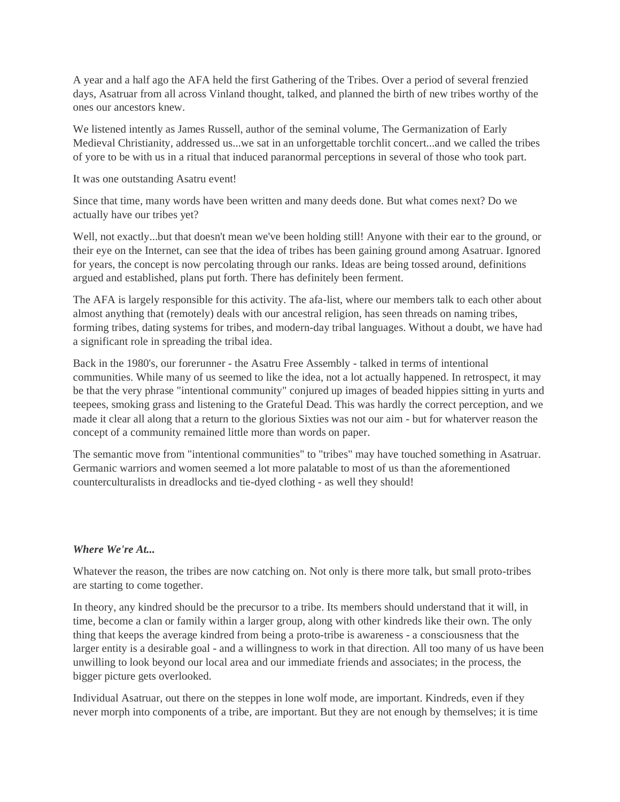A year and a half ago the AFA held the first Gathering of the Tribes. Over a period of several frenzied days, Asatruar from all across Vinland thought, talked, and planned the birth of new tribes worthy of the ones our ancestors knew.

We listened intently as James Russell, author of the seminal volume, The Germanization of Early Medieval Christianity, addressed us...we sat in an unforgettable torchlit concert...and we called the tribes of yore to be with us in a ritual that induced paranormal perceptions in several of those who took part.

#### It was one outstanding Asatru event!

Since that time, many words have been written and many deeds done. But what comes next? Do we actually have our tribes yet?

Well, not exactly...but that doesn't mean we've been holding still! Anyone with their ear to the ground, or their eye on the Internet, can see that the idea of tribes has been gaining ground among Asatruar. Ignored for years, the concept is now percolating through our ranks. Ideas are being tossed around, definitions argued and established, plans put forth. There has definitely been ferment.

The AFA is largely responsible for this activity. The afa-list, where our members talk to each other about almost anything that (remotely) deals with our ancestral religion, has seen threads on naming tribes, forming tribes, dating systems for tribes, and modern-day tribal languages. Without a doubt, we have had a significant role in spreading the tribal idea.

Back in the 1980's, our forerunner - the Asatru Free Assembly - talked in terms of intentional communities. While many of us seemed to like the idea, not a lot actually happened. In retrospect, it may be that the very phrase "intentional community" conjured up images of beaded hippies sitting in yurts and teepees, smoking grass and listening to the Grateful Dead. This was hardly the correct perception, and we made it clear all along that a return to the glorious Sixties was not our aim - but for whaterver reason the concept of a community remained little more than words on paper.

The semantic move from "intentional communities" to "tribes" may have touched something in Asatruar. Germanic warriors and women seemed a lot more palatable to most of us than the aforementioned counterculturalists in dreadlocks and tie-dyed clothing - as well they should!

## *Where We're At...*

Whatever the reason, the tribes are now catching on. Not only is there more talk, but small proto-tribes are starting to come together.

In theory, any kindred should be the precursor to a tribe. Its members should understand that it will, in time, become a clan or family within a larger group, along with other kindreds like their own. The only thing that keeps the average kindred from being a proto-tribe is awareness - a consciousness that the larger entity is a desirable goal - and a willingness to work in that direction. All too many of us have been unwilling to look beyond our local area and our immediate friends and associates; in the process, the bigger picture gets overlooked.

Individual Asatruar, out there on the steppes in lone wolf mode, are important. Kindreds, even if they never morph into components of a tribe, are important. But they are not enough by themselves; it is time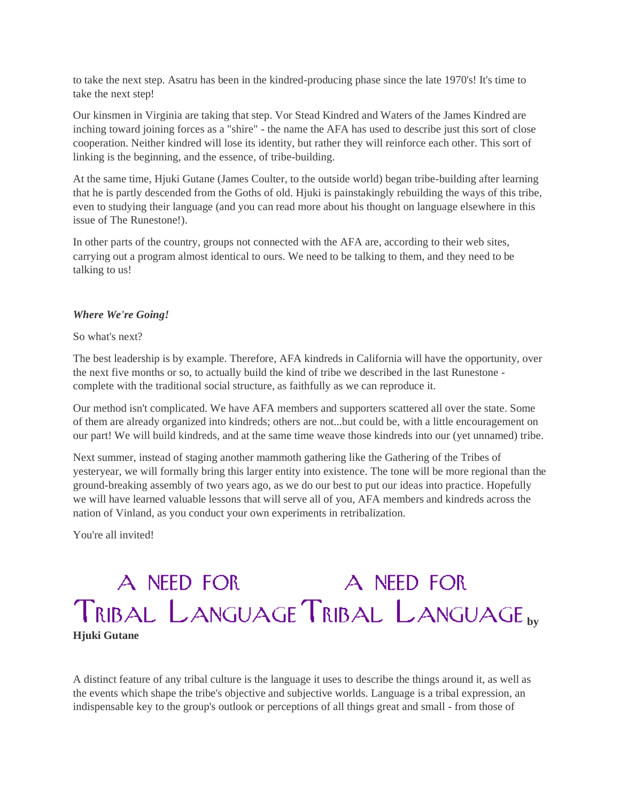to take the next step. Asatru has been in the kindred-producing phase since the late 1970's! It's time to take the next step!

Our kinsmen in Virginia are taking that step. Vor Stead Kindred and Waters of the James Kindred are inching toward joining forces as a "shire" - the name the AFA has used to describe just this sort of close cooperation. Neither kindred will lose its identity, but rather they will reinforce each other. This sort of linking is the beginning, and the essence, of tribe-building.

At the same time, Hjuki Gutane (James Coulter, to the outside world) began tribe-building after learning that he is partly descended from the Goths of old. Hjuki is painstakingly rebuilding the ways of this tribe, even to studying their language (and you can read more about his thought on language elsewhere in this issue of The Runestone!).

In other parts of the country, groups not connected with the AFA are, according to their web sites, carrying out a program almost identical to ours. We need to be talking to them, and they need to be talking to us!

# *Where We're Going!*

So what's next?

The best leadership is by example. Therefore, AFA kindreds in California will have the opportunity, over the next five months or so, to actually build the kind of tribe we described in the last Runestone complete with the traditional social structure, as faithfully as we can reproduce it.

Our method isn't complicated. We have AFA members and supporters scattered all over the state. Some of them are already organized into kindreds; others are not...but could be, with a little encouragement on our part! We will build kindreds, and at the same time weave those kindreds into our (yet unnamed) tribe.

Next summer, instead of staging another mammoth gathering like the Gathering of the Tribes of yesteryear, we will formally bring this larger entity into existence. The tone will be more regional than the ground-breaking assembly of two years ago, as we do our best to put our ideas into practice. Hopefully we will have learned valuable lessons that will serve all of you, AFA members and kindreds across the nation of Vinland, as you conduct your own experiments in retribalization.

You're all invited!

# A NEED FOR A NEED FOR<br>TRIBAL LANGUAGE TRIBAL LANGUAGE by **Hjuki Gutane**

A distinct feature of any tribal culture is the language it uses to describe the things around it, as well as the events which shape the tribe's objective and subjective worlds. Language is a tribal expression, an indispensable key to the group's outlook or perceptions of all things great and small - from those of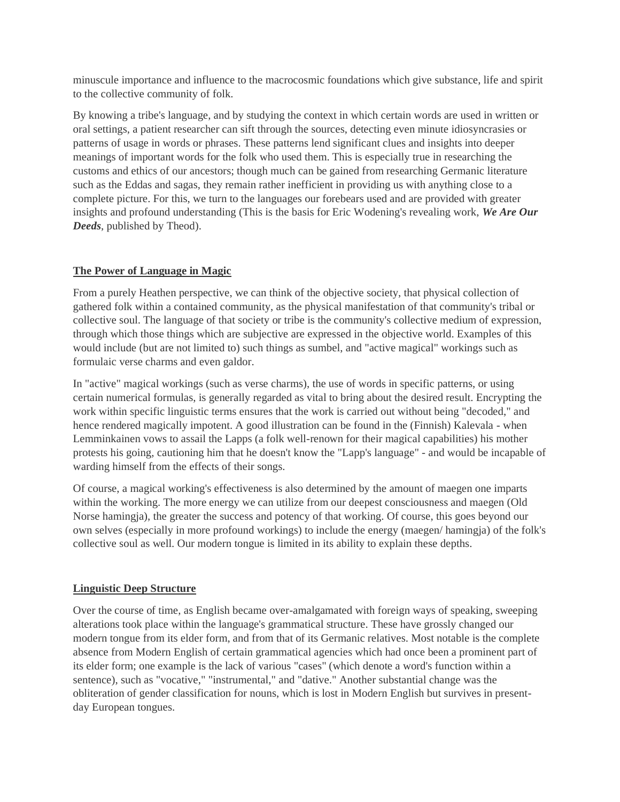minuscule importance and influence to the macrocosmic foundations which give substance, life and spirit to the collective community of folk.

By knowing a tribe's language, and by studying the context in which certain words are used in written or oral settings, a patient researcher can sift through the sources, detecting even minute idiosyncrasies or patterns of usage in words or phrases. These patterns lend significant clues and insights into deeper meanings of important words for the folk who used them. This is especially true in researching the customs and ethics of our ancestors; though much can be gained from researching Germanic literature such as the Eddas and sagas, they remain rather inefficient in providing us with anything close to a complete picture. For this, we turn to the languages our forebears used and are provided with greater insights and profound understanding (This is the basis for Eric Wodening's revealing work, *We Are Our Deeds*, published by Theod).

# **The Power of Language in Magic**

From a purely Heathen perspective, we can think of the objective society, that physical collection of gathered folk within a contained community, as the physical manifestation of that community's tribal or collective soul. The language of that society or tribe is the community's collective medium of expression, through which those things which are subjective are expressed in the objective world. Examples of this would include (but are not limited to) such things as sumbel, and "active magical" workings such as formulaic verse charms and even galdor.

In "active" magical workings (such as verse charms), the use of words in specific patterns, or using certain numerical formulas, is generally regarded as vital to bring about the desired result. Encrypting the work within specific linguistic terms ensures that the work is carried out without being "decoded," and hence rendered magically impotent. A good illustration can be found in the (Finnish) Kalevala - when Lemminkainen vows to assail the Lapps (a folk well-renown for their magical capabilities) his mother protests his going, cautioning him that he doesn't know the "Lapp's language" - and would be incapable of warding himself from the effects of their songs.

Of course, a magical working's effectiveness is also determined by the amount of maegen one imparts within the working. The more energy we can utilize from our deepest consciousness and maegen (Old Norse hamingja), the greater the success and potency of that working. Of course, this goes beyond our own selves (especially in more profound workings) to include the energy (maegen/ hamingja) of the folk's collective soul as well. Our modern tongue is limited in its ability to explain these depths.

# **Linguistic Deep Structure**

Over the course of time, as English became over-amalgamated with foreign ways of speaking, sweeping alterations took place within the language's grammatical structure. These have grossly changed our modern tongue from its elder form, and from that of its Germanic relatives. Most notable is the complete absence from Modern English of certain grammatical agencies which had once been a prominent part of its elder form; one example is the lack of various "cases" (which denote a word's function within a sentence), such as "vocative," "instrumental," and "dative." Another substantial change was the obliteration of gender classification for nouns, which is lost in Modern English but survives in presentday European tongues.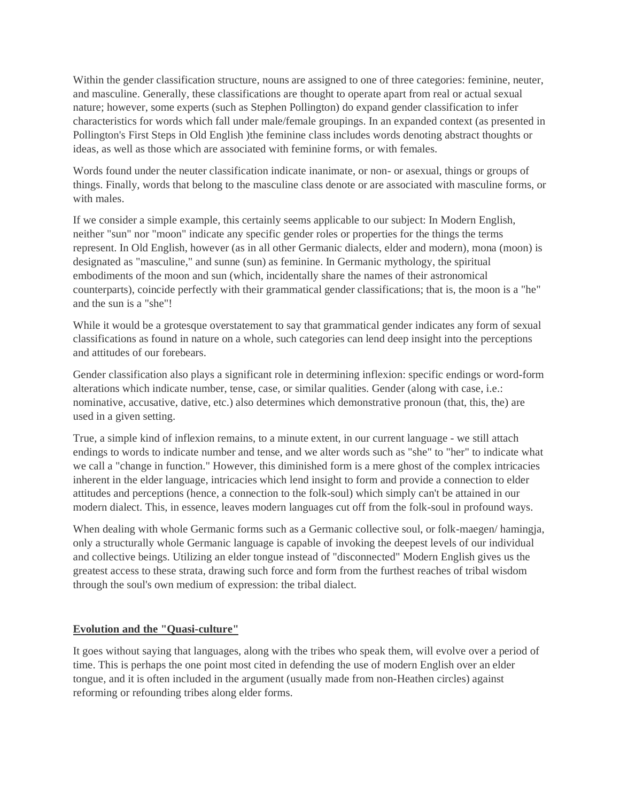Within the gender classification structure, nouns are assigned to one of three categories: feminine, neuter, and masculine. Generally, these classifications are thought to operate apart from real or actual sexual nature; however, some experts (such as Stephen Pollington) do expand gender classification to infer characteristics for words which fall under male/female groupings. In an expanded context (as presented in Pollington's First Steps in Old English )the feminine class includes words denoting abstract thoughts or ideas, as well as those which are associated with feminine forms, or with females.

Words found under the neuter classification indicate inanimate, or non- or asexual, things or groups of things. Finally, words that belong to the masculine class denote or are associated with masculine forms, or with males.

If we consider a simple example, this certainly seems applicable to our subject: In Modern English, neither "sun" nor "moon" indicate any specific gender roles or properties for the things the terms represent. In Old English, however (as in all other Germanic dialects, elder and modern), mona (moon) is designated as "masculine," and sunne (sun) as feminine. In Germanic mythology, the spiritual embodiments of the moon and sun (which, incidentally share the names of their astronomical counterparts), coincide perfectly with their grammatical gender classifications; that is, the moon is a "he" and the sun is a "she"!

While it would be a grotesque overstatement to say that grammatical gender indicates any form of sexual classifications as found in nature on a whole, such categories can lend deep insight into the perceptions and attitudes of our forebears.

Gender classification also plays a significant role in determining inflexion: specific endings or word-form alterations which indicate number, tense, case, or similar qualities. Gender (along with case, i.e.: nominative, accusative, dative, etc.) also determines which demonstrative pronoun (that, this, the) are used in a given setting.

True, a simple kind of inflexion remains, to a minute extent, in our current language - we still attach endings to words to indicate number and tense, and we alter words such as "she" to "her" to indicate what we call a "change in function." However, this diminished form is a mere ghost of the complex intricacies inherent in the elder language, intricacies which lend insight to form and provide a connection to elder attitudes and perceptions (hence, a connection to the folk-soul) which simply can't be attained in our modern dialect. This, in essence, leaves modern languages cut off from the folk-soul in profound ways.

When dealing with whole Germanic forms such as a Germanic collective soul, or folk-maegen/ hamingia, only a structurally whole Germanic language is capable of invoking the deepest levels of our individual and collective beings. Utilizing an elder tongue instead of "disconnected" Modern English gives us the greatest access to these strata, drawing such force and form from the furthest reaches of tribal wisdom through the soul's own medium of expression: the tribal dialect.

## **Evolution and the "Quasi-culture"**

It goes without saying that languages, along with the tribes who speak them, will evolve over a period of time. This is perhaps the one point most cited in defending the use of modern English over an elder tongue, and it is often included in the argument (usually made from non-Heathen circles) against reforming or refounding tribes along elder forms.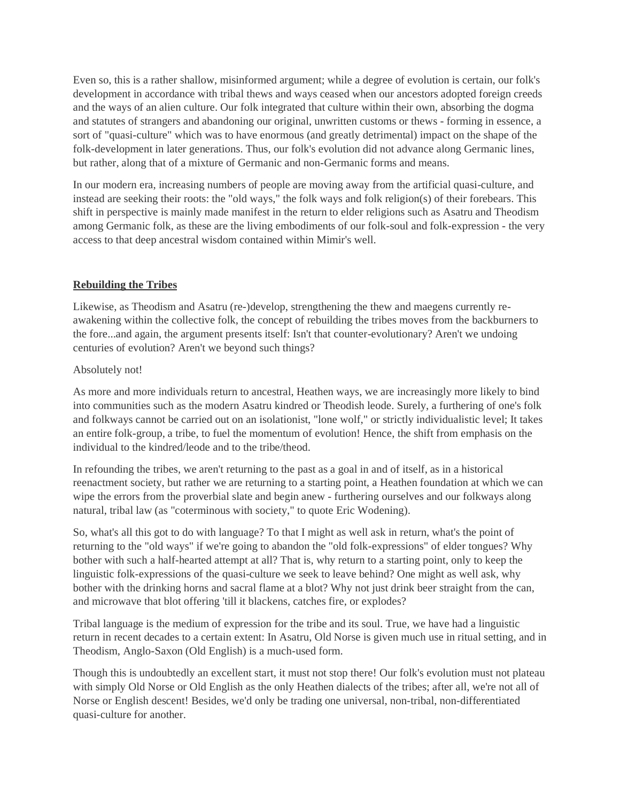Even so, this is a rather shallow, misinformed argument; while a degree of evolution is certain, our folk's development in accordance with tribal thews and ways ceased when our ancestors adopted foreign creeds and the ways of an alien culture. Our folk integrated that culture within their own, absorbing the dogma and statutes of strangers and abandoning our original, unwritten customs or thews - forming in essence, a sort of "quasi-culture" which was to have enormous (and greatly detrimental) impact on the shape of the folk-development in later generations. Thus, our folk's evolution did not advance along Germanic lines, but rather, along that of a mixture of Germanic and non-Germanic forms and means.

In our modern era, increasing numbers of people are moving away from the artificial quasi-culture, and instead are seeking their roots: the "old ways," the folk ways and folk religion(s) of their forebears. This shift in perspective is mainly made manifest in the return to elder religions such as Asatru and Theodism among Germanic folk, as these are the living embodiments of our folk-soul and folk-expression - the very access to that deep ancestral wisdom contained within Mimir's well.

## **Rebuilding the Tribes**

Likewise, as Theodism and Asatru (re-)develop, strengthening the thew and maegens currently reawakening within the collective folk, the concept of rebuilding the tribes moves from the backburners to the fore...and again, the argument presents itself: Isn't that counter-evolutionary? Aren't we undoing centuries of evolution? Aren't we beyond such things?

#### Absolutely not!

As more and more individuals return to ancestral, Heathen ways, we are increasingly more likely to bind into communities such as the modern Asatru kindred or Theodish leode. Surely, a furthering of one's folk and folkways cannot be carried out on an isolationist, "lone wolf," or strictly individualistic level; It takes an entire folk-group, a tribe, to fuel the momentum of evolution! Hence, the shift from emphasis on the individual to the kindred/leode and to the tribe/theod.

In refounding the tribes, we aren't returning to the past as a goal in and of itself, as in a historical reenactment society, but rather we are returning to a starting point, a Heathen foundation at which we can wipe the errors from the proverbial slate and begin anew - furthering ourselves and our folkways along natural, tribal law (as "coterminous with society," to quote Eric Wodening).

So, what's all this got to do with language? To that I might as well ask in return, what's the point of returning to the "old ways" if we're going to abandon the "old folk-expressions" of elder tongues? Why bother with such a half-hearted attempt at all? That is, why return to a starting point, only to keep the linguistic folk-expressions of the quasi-culture we seek to leave behind? One might as well ask, why bother with the drinking horns and sacral flame at a blot? Why not just drink beer straight from the can, and microwave that blot offering 'till it blackens, catches fire, or explodes?

Tribal language is the medium of expression for the tribe and its soul. True, we have had a linguistic return in recent decades to a certain extent: In Asatru, Old Norse is given much use in ritual setting, and in Theodism, Anglo-Saxon (Old English) is a much-used form.

Though this is undoubtedly an excellent start, it must not stop there! Our folk's evolution must not plateau with simply Old Norse or Old English as the only Heathen dialects of the tribes; after all, we're not all of Norse or English descent! Besides, we'd only be trading one universal, non-tribal, non-differentiated quasi-culture for another.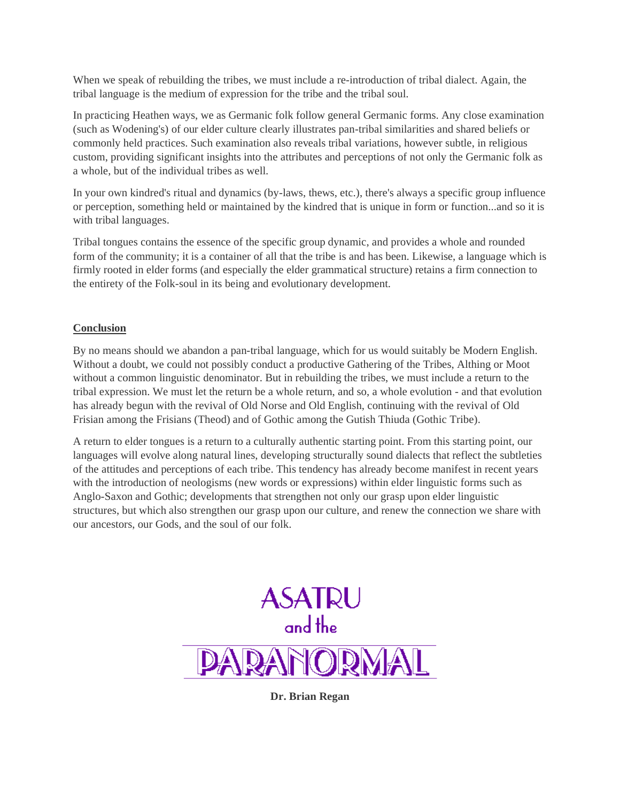When we speak of rebuilding the tribes, we must include a re-introduction of tribal dialect. Again, the tribal language is the medium of expression for the tribe and the tribal soul.

In practicing Heathen ways, we as Germanic folk follow general Germanic forms. Any close examination (such as Wodening's) of our elder culture clearly illustrates pan-tribal similarities and shared beliefs or commonly held practices. Such examination also reveals tribal variations, however subtle, in religious custom, providing significant insights into the attributes and perceptions of not only the Germanic folk as a whole, but of the individual tribes as well.

In your own kindred's ritual and dynamics (by-laws, thews, etc.), there's always a specific group influence or perception, something held or maintained by the kindred that is unique in form or function...and so it is with tribal languages.

Tribal tongues contains the essence of the specific group dynamic, and provides a whole and rounded form of the community; it is a container of all that the tribe is and has been. Likewise, a language which is firmly rooted in elder forms (and especially the elder grammatical structure) retains a firm connection to the entirety of the Folk-soul in its being and evolutionary development.

# **Conclusion**

By no means should we abandon a pan-tribal language, which for us would suitably be Modern English. Without a doubt, we could not possibly conduct a productive Gathering of the Tribes, Althing or Moot without a common linguistic denominator. But in rebuilding the tribes, we must include a return to the tribal expression. We must let the return be a whole return, and so, a whole evolution - and that evolution has already begun with the revival of Old Norse and Old English, continuing with the revival of Old Frisian among the Frisians (Theod) and of Gothic among the Gutish Thiuda (Gothic Tribe).

A return to elder tongues is a return to a culturally authentic starting point. From this starting point, our languages will evolve along natural lines, developing structurally sound dialects that reflect the subtleties of the attitudes and perceptions of each tribe. This tendency has already become manifest in recent years with the introduction of neologisms (new words or expressions) within elder linguistic forms such as Anglo-Saxon and Gothic; developments that strengthen not only our grasp upon elder linguistic structures, but which also strengthen our grasp upon our culture, and renew the connection we share with our ancestors, our Gods, and the soul of our folk.



**Dr. Brian Regan**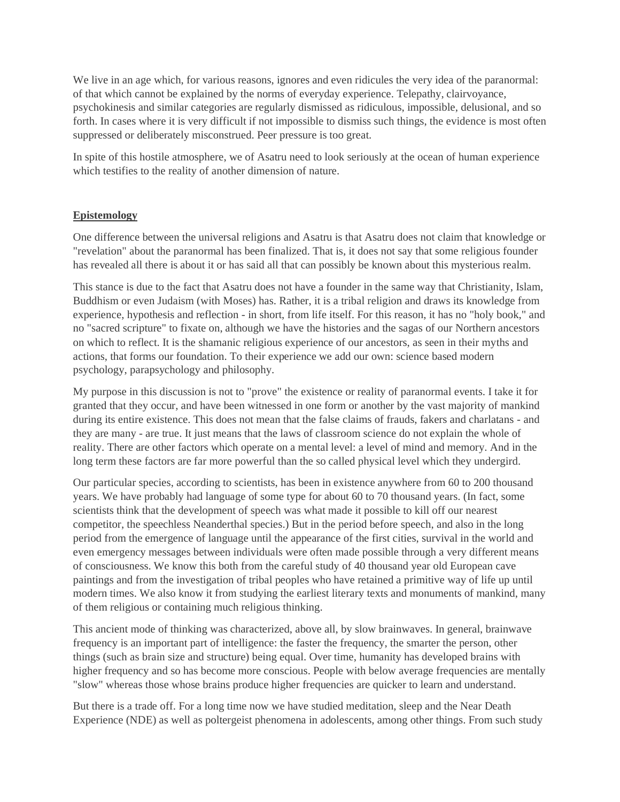We live in an age which, for various reasons, ignores and even ridicules the very idea of the paranormal: of that which cannot be explained by the norms of everyday experience. Telepathy, clairvoyance, psychokinesis and similar categories are regularly dismissed as ridiculous, impossible, delusional, and so forth. In cases where it is very difficult if not impossible to dismiss such things, the evidence is most often suppressed or deliberately misconstrued. Peer pressure is too great.

In spite of this hostile atmosphere, we of Asatru need to look seriously at the ocean of human experience which testifies to the reality of another dimension of nature.

## **Epistemology**

One difference between the universal religions and Asatru is that Asatru does not claim that knowledge or "revelation" about the paranormal has been finalized. That is, it does not say that some religious founder has revealed all there is about it or has said all that can possibly be known about this mysterious realm.

This stance is due to the fact that Asatru does not have a founder in the same way that Christianity, Islam, Buddhism or even Judaism (with Moses) has. Rather, it is a tribal religion and draws its knowledge from experience, hypothesis and reflection - in short, from life itself. For this reason, it has no "holy book," and no "sacred scripture" to fixate on, although we have the histories and the sagas of our Northern ancestors on which to reflect. It is the shamanic religious experience of our ancestors, as seen in their myths and actions, that forms our foundation. To their experience we add our own: science based modern psychology, parapsychology and philosophy.

My purpose in this discussion is not to "prove" the existence or reality of paranormal events. I take it for granted that they occur, and have been witnessed in one form or another by the vast majority of mankind during its entire existence. This does not mean that the false claims of frauds, fakers and charlatans - and they are many - are true. It just means that the laws of classroom science do not explain the whole of reality. There are other factors which operate on a mental level: a level of mind and memory. And in the long term these factors are far more powerful than the so called physical level which they undergird.

Our particular species, according to scientists, has been in existence anywhere from 60 to 200 thousand years. We have probably had language of some type for about 60 to 70 thousand years. (In fact, some scientists think that the development of speech was what made it possible to kill off our nearest competitor, the speechless Neanderthal species.) But in the period before speech, and also in the long period from the emergence of language until the appearance of the first cities, survival in the world and even emergency messages between individuals were often made possible through a very different means of consciousness. We know this both from the careful study of 40 thousand year old European cave paintings and from the investigation of tribal peoples who have retained a primitive way of life up until modern times. We also know it from studying the earliest literary texts and monuments of mankind, many of them religious or containing much religious thinking.

This ancient mode of thinking was characterized, above all, by slow brainwaves. In general, brainwave frequency is an important part of intelligence: the faster the frequency, the smarter the person, other things (such as brain size and structure) being equal. Over time, humanity has developed brains with higher frequency and so has become more conscious. People with below average frequencies are mentally "slow" whereas those whose brains produce higher frequencies are quicker to learn and understand.

But there is a trade off. For a long time now we have studied meditation, sleep and the Near Death Experience (NDE) as well as poltergeist phenomena in adolescents, among other things. From such study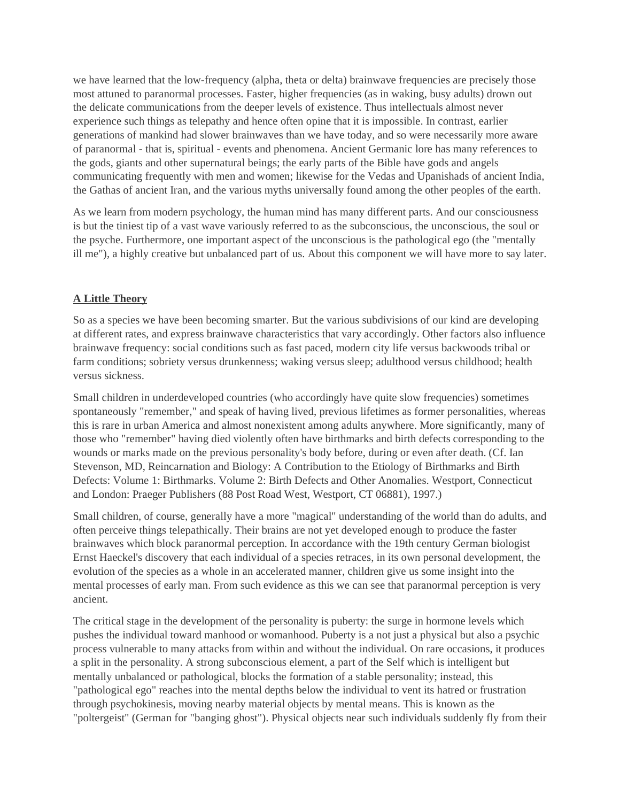we have learned that the low-frequency (alpha, theta or delta) brainwave frequencies are precisely those most attuned to paranormal processes. Faster, higher frequencies (as in waking, busy adults) drown out the delicate communications from the deeper levels of existence. Thus intellectuals almost never experience such things as telepathy and hence often opine that it is impossible. In contrast, earlier generations of mankind had slower brainwaves than we have today, and so were necessarily more aware of paranormal - that is, spiritual - events and phenomena. Ancient Germanic lore has many references to the gods, giants and other supernatural beings; the early parts of the Bible have gods and angels communicating frequently with men and women; likewise for the Vedas and Upanishads of ancient India, the Gathas of ancient Iran, and the various myths universally found among the other peoples of the earth.

As we learn from modern psychology, the human mind has many different parts. And our consciousness is but the tiniest tip of a vast wave variously referred to as the subconscious, the unconscious, the soul or the psyche. Furthermore, one important aspect of the unconscious is the pathological ego (the "mentally ill me"), a highly creative but unbalanced part of us. About this component we will have more to say later.

#### **A Little Theory**

So as a species we have been becoming smarter. But the various subdivisions of our kind are developing at different rates, and express brainwave characteristics that vary accordingly. Other factors also influence brainwave frequency: social conditions such as fast paced, modern city life versus backwoods tribal or farm conditions; sobriety versus drunkenness; waking versus sleep; adulthood versus childhood; health versus sickness.

Small children in underdeveloped countries (who accordingly have quite slow frequencies) sometimes spontaneously "remember," and speak of having lived, previous lifetimes as former personalities, whereas this is rare in urban America and almost nonexistent among adults anywhere. More significantly, many of those who "remember" having died violently often have birthmarks and birth defects corresponding to the wounds or marks made on the previous personality's body before, during or even after death. (Cf. Ian Stevenson, MD, Reincarnation and Biology: A Contribution to the Etiology of Birthmarks and Birth Defects: Volume 1: Birthmarks. Volume 2: Birth Defects and Other Anomalies. Westport, Connecticut and London: Praeger Publishers (88 Post Road West, Westport, CT 06881), 1997.)

Small children, of course, generally have a more "magical" understanding of the world than do adults, and often perceive things telepathically. Their brains are not yet developed enough to produce the faster brainwaves which block paranormal perception. In accordance with the 19th century German biologist Ernst Haeckel's discovery that each individual of a species retraces, in its own personal development, the evolution of the species as a whole in an accelerated manner, children give us some insight into the mental processes of early man. From such evidence as this we can see that paranormal perception is very ancient.

The critical stage in the development of the personality is puberty: the surge in hormone levels which pushes the individual toward manhood or womanhood. Puberty is a not just a physical but also a psychic process vulnerable to many attacks from within and without the individual. On rare occasions, it produces a split in the personality. A strong subconscious element, a part of the Self which is intelligent but mentally unbalanced or pathological, blocks the formation of a stable personality; instead, this "pathological ego" reaches into the mental depths below the individual to vent its hatred or frustration through psychokinesis, moving nearby material objects by mental means. This is known as the "poltergeist" (German for "banging ghost"). Physical objects near such individuals suddenly fly from their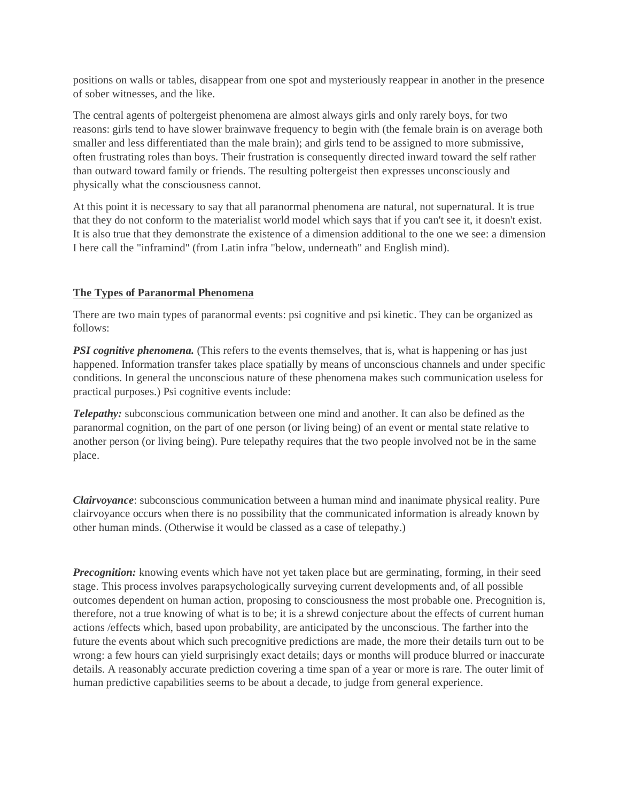positions on walls or tables, disappear from one spot and mysteriously reappear in another in the presence of sober witnesses, and the like.

The central agents of poltergeist phenomena are almost always girls and only rarely boys, for two reasons: girls tend to have slower brainwave frequency to begin with (the female brain is on average both smaller and less differentiated than the male brain); and girls tend to be assigned to more submissive, often frustrating roles than boys. Their frustration is consequently directed inward toward the self rather than outward toward family or friends. The resulting poltergeist then expresses unconsciously and physically what the consciousness cannot.

At this point it is necessary to say that all paranormal phenomena are natural, not supernatural. It is true that they do not conform to the materialist world model which says that if you can't see it, it doesn't exist. It is also true that they demonstrate the existence of a dimension additional to the one we see: a dimension I here call the "inframind" (from Latin infra "below, underneath" and English mind).

## **The Types of Paranormal Phenomena**

There are two main types of paranormal events: psi cognitive and psi kinetic. They can be organized as follows:

*PSI cognitive phenomena.* (This refers to the events themselves, that is, what is happening or has just happened. Information transfer takes place spatially by means of unconscious channels and under specific conditions. In general the unconscious nature of these phenomena makes such communication useless for practical purposes.) Psi cognitive events include:

*Telepathy:* subconscious communication between one mind and another. It can also be defined as the paranormal cognition, on the part of one person (or living being) of an event or mental state relative to another person (or living being). Pure telepathy requires that the two people involved not be in the same place.

*Clairvoyance*: subconscious communication between a human mind and inanimate physical reality. Pure clairvoyance occurs when there is no possibility that the communicated information is already known by other human minds. (Otherwise it would be classed as a case of telepathy.)

*Precognition:* knowing events which have not yet taken place but are germinating, forming, in their seed stage. This process involves parapsychologically surveying current developments and, of all possible outcomes dependent on human action, proposing to consciousness the most probable one. Precognition is, therefore, not a true knowing of what is to be; it is a shrewd conjecture about the effects of current human actions /effects which, based upon probability, are anticipated by the unconscious. The farther into the future the events about which such precognitive predictions are made, the more their details turn out to be wrong: a few hours can yield surprisingly exact details; days or months will produce blurred or inaccurate details. A reasonably accurate prediction covering a time span of a year or more is rare. The outer limit of human predictive capabilities seems to be about a decade, to judge from general experience.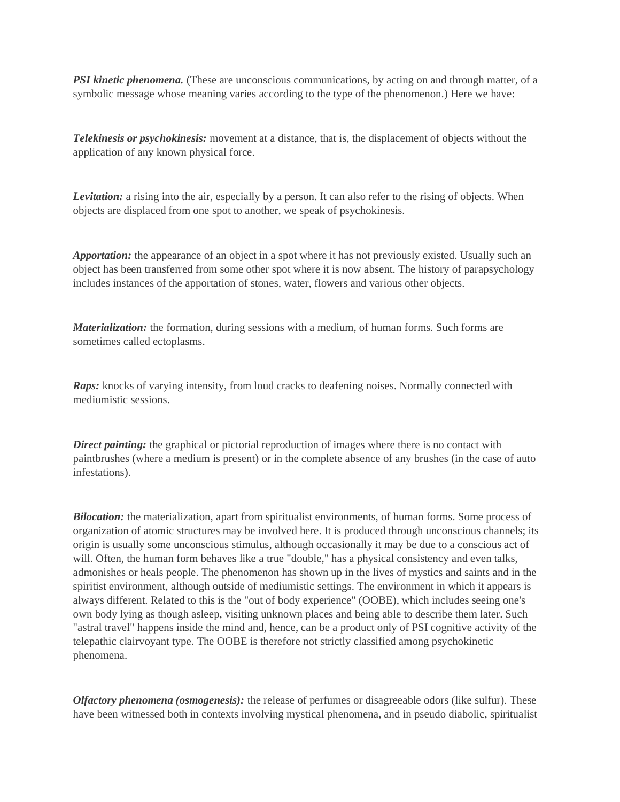*PSI kinetic phenomena.* (These are unconscious communications, by acting on and through matter, of a symbolic message whose meaning varies according to the type of the phenomenon.) Here we have:

*Telekinesis or psychokinesis:* movement at a distance, that is, the displacement of objects without the application of any known physical force.

*Levitation:* a rising into the air, especially by a person. It can also refer to the rising of objects. When objects are displaced from one spot to another, we speak of psychokinesis.

*Apportation:* the appearance of an object in a spot where it has not previously existed. Usually such an object has been transferred from some other spot where it is now absent. The history of parapsychology includes instances of the apportation of stones, water, flowers and various other objects.

*Materialization:* the formation, during sessions with a medium, of human forms. Such forms are sometimes called ectoplasms.

*Raps:* knocks of varying intensity, from loud cracks to deafening noises. Normally connected with mediumistic sessions.

*Direct painting:* the graphical or pictorial reproduction of images where there is no contact with paintbrushes (where a medium is present) or in the complete absence of any brushes (in the case of auto infestations).

*Bilocation:* the materialization, apart from spiritualist environments, of human forms. Some process of organization of atomic structures may be involved here. It is produced through unconscious channels; its origin is usually some unconscious stimulus, although occasionally it may be due to a conscious act of will. Often, the human form behaves like a true "double," has a physical consistency and even talks, admonishes or heals people. The phenomenon has shown up in the lives of mystics and saints and in the spiritist environment, although outside of mediumistic settings. The environment in which it appears is always different. Related to this is the "out of body experience" (OOBE), which includes seeing one's own body lying as though asleep, visiting unknown places and being able to describe them later. Such "astral travel" happens inside the mind and, hence, can be a product only of PSI cognitive activity of the telepathic clairvoyant type. The OOBE is therefore not strictly classified among psychokinetic phenomena.

*Olfactory phenomena (osmogenesis):* the release of perfumes or disagreeable odors (like sulfur). These have been witnessed both in contexts involving mystical phenomena, and in pseudo diabolic, spiritualist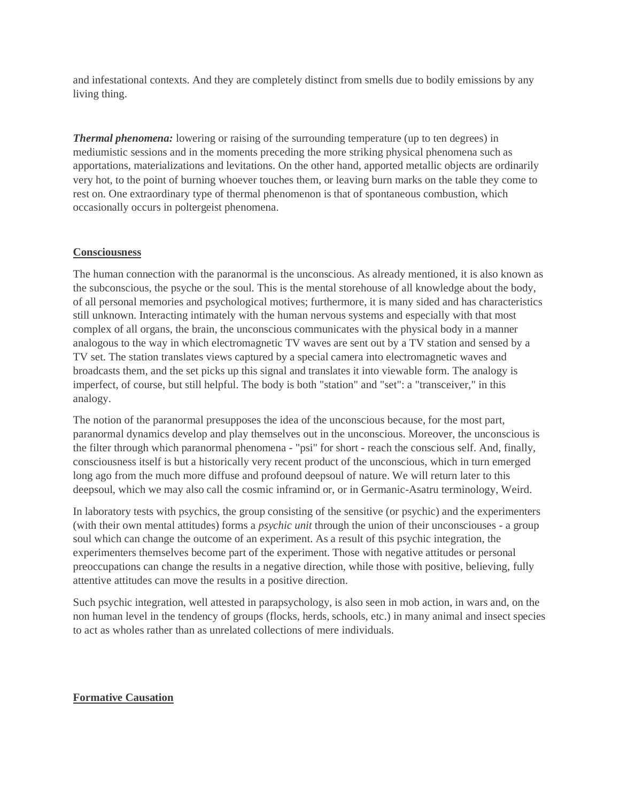and infestational contexts. And they are completely distinct from smells due to bodily emissions by any living thing.

*Thermal phenomena:* lowering or raising of the surrounding temperature (up to ten degrees) in mediumistic sessions and in the moments preceding the more striking physical phenomena such as apportations, materializations and levitations. On the other hand, apported metallic objects are ordinarily very hot, to the point of burning whoever touches them, or leaving burn marks on the table they come to rest on. One extraordinary type of thermal phenomenon is that of spontaneous combustion, which occasionally occurs in poltergeist phenomena.

# **Consciousness**

The human connection with the paranormal is the unconscious. As already mentioned, it is also known as the subconscious, the psyche or the soul. This is the mental storehouse of all knowledge about the body, of all personal memories and psychological motives; furthermore, it is many sided and has characteristics still unknown. Interacting intimately with the human nervous systems and especially with that most complex of all organs, the brain, the unconscious communicates with the physical body in a manner analogous to the way in which electromagnetic TV waves are sent out by a TV station and sensed by a TV set. The station translates views captured by a special camera into electromagnetic waves and broadcasts them, and the set picks up this signal and translates it into viewable form. The analogy is imperfect, of course, but still helpful. The body is both "station" and "set": a "transceiver," in this analogy.

The notion of the paranormal presupposes the idea of the unconscious because, for the most part, paranormal dynamics develop and play themselves out in the unconscious. Moreover, the unconscious is the filter through which paranormal phenomena - "psi" for short - reach the conscious self. And, finally, consciousness itself is but a historically very recent product of the unconscious, which in turn emerged long ago from the much more diffuse and profound deepsoul of nature. We will return later to this deepsoul, which we may also call the cosmic inframind or, or in Germanic-Asatru terminology, Weird.

In laboratory tests with psychics, the group consisting of the sensitive (or psychic) and the experimenters (with their own mental attitudes) forms a *psychic unit* through the union of their unconsciouses - a group soul which can change the outcome of an experiment. As a result of this psychic integration, the experimenters themselves become part of the experiment. Those with negative attitudes or personal preoccupations can change the results in a negative direction, while those with positive, believing, fully attentive attitudes can move the results in a positive direction.

Such psychic integration, well attested in parapsychology, is also seen in mob action, in wars and, on the non human level in the tendency of groups (flocks, herds, schools, etc.) in many animal and insect species to act as wholes rather than as unrelated collections of mere individuals.

## **Formative Causation**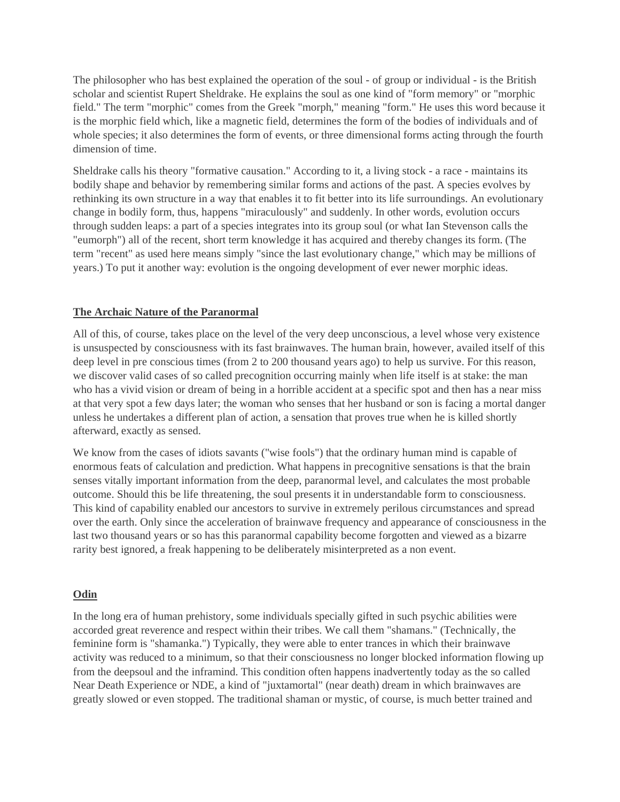The philosopher who has best explained the operation of the soul - of group or individual - is the British scholar and scientist Rupert Sheldrake. He explains the soul as one kind of "form memory" or "morphic field." The term "morphic" comes from the Greek "morph," meaning "form." He uses this word because it is the morphic field which, like a magnetic field, determines the form of the bodies of individuals and of whole species; it also determines the form of events, or three dimensional forms acting through the fourth dimension of time.

Sheldrake calls his theory "formative causation." According to it, a living stock - a race - maintains its bodily shape and behavior by remembering similar forms and actions of the past. A species evolves by rethinking its own structure in a way that enables it to fit better into its life surroundings. An evolutionary change in bodily form, thus, happens "miraculously" and suddenly. In other words, evolution occurs through sudden leaps: a part of a species integrates into its group soul (or what Ian Stevenson calls the "eumorph") all of the recent, short term knowledge it has acquired and thereby changes its form. (The term "recent" as used here means simply "since the last evolutionary change," which may be millions of years.) To put it another way: evolution is the ongoing development of ever newer morphic ideas.

## **The Archaic Nature of the Paranormal**

All of this, of course, takes place on the level of the very deep unconscious, a level whose very existence is unsuspected by consciousness with its fast brainwaves. The human brain, however, availed itself of this deep level in pre conscious times (from 2 to 200 thousand years ago) to help us survive. For this reason, we discover valid cases of so called precognition occurring mainly when life itself is at stake: the man who has a vivid vision or dream of being in a horrible accident at a specific spot and then has a near miss at that very spot a few days later; the woman who senses that her husband or son is facing a mortal danger unless he undertakes a different plan of action, a sensation that proves true when he is killed shortly afterward, exactly as sensed.

We know from the cases of idiots savants ("wise fools") that the ordinary human mind is capable of enormous feats of calculation and prediction. What happens in precognitive sensations is that the brain senses vitally important information from the deep, paranormal level, and calculates the most probable outcome. Should this be life threatening, the soul presents it in understandable form to consciousness. This kind of capability enabled our ancestors to survive in extremely perilous circumstances and spread over the earth. Only since the acceleration of brainwave frequency and appearance of consciousness in the last two thousand years or so has this paranormal capability become forgotten and viewed as a bizarre rarity best ignored, a freak happening to be deliberately misinterpreted as a non event.

## **Odin**

In the long era of human prehistory, some individuals specially gifted in such psychic abilities were accorded great reverence and respect within their tribes. We call them "shamans." (Technically, the feminine form is "shamanka.") Typically, they were able to enter trances in which their brainwave activity was reduced to a minimum, so that their consciousness no longer blocked information flowing up from the deepsoul and the inframind. This condition often happens inadvertently today as the so called Near Death Experience or NDE, a kind of "juxtamortal" (near death) dream in which brainwaves are greatly slowed or even stopped. The traditional shaman or mystic, of course, is much better trained and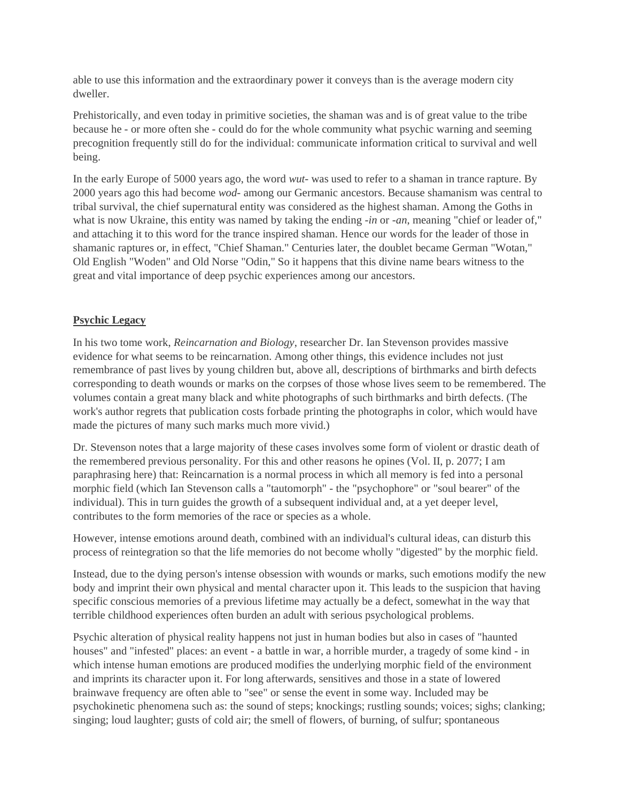able to use this information and the extraordinary power it conveys than is the average modern city dweller.

Prehistorically, and even today in primitive societies, the shaman was and is of great value to the tribe because he - or more often she - could do for the whole community what psychic warning and seeming precognition frequently still do for the individual: communicate information critical to survival and well being.

In the early Europe of 5000 years ago, the word *wut-* was used to refer to a shaman in trance rapture. By 2000 years ago this had become *wod-* among our Germanic ancestors. Because shamanism was central to tribal survival, the chief supernatural entity was considered as the highest shaman. Among the Goths in what is now Ukraine, this entity was named by taking the ending *-in* or *-an*, meaning "chief or leader of," and attaching it to this word for the trance inspired shaman. Hence our words for the leader of those in shamanic raptures or, in effect, "Chief Shaman." Centuries later, the doublet became German "Wotan," Old English "Woden" and Old Norse "Odin," So it happens that this divine name bears witness to the great and vital importance of deep psychic experiences among our ancestors.

# **Psychic Legacy**

In his two tome work, *Reincarnation and Biology*, researcher Dr. Ian Stevenson provides massive evidence for what seems to be reincarnation. Among other things, this evidence includes not just remembrance of past lives by young children but, above all, descriptions of birthmarks and birth defects corresponding to death wounds or marks on the corpses of those whose lives seem to be remembered. The volumes contain a great many black and white photographs of such birthmarks and birth defects. (The work's author regrets that publication costs forbade printing the photographs in color, which would have made the pictures of many such marks much more vivid.)

Dr. Stevenson notes that a large majority of these cases involves some form of violent or drastic death of the remembered previous personality. For this and other reasons he opines (Vol. II, p. 2077; I am paraphrasing here) that: Reincarnation is a normal process in which all memory is fed into a personal morphic field (which Ian Stevenson calls a "tautomorph" - the "psychophore" or "soul bearer" of the individual). This in turn guides the growth of a subsequent individual and, at a yet deeper level, contributes to the form memories of the race or species as a whole.

However, intense emotions around death, combined with an individual's cultural ideas, can disturb this process of reintegration so that the life memories do not become wholly "digested" by the morphic field.

Instead, due to the dying person's intense obsession with wounds or marks, such emotions modify the new body and imprint their own physical and mental character upon it. This leads to the suspicion that having specific conscious memories of a previous lifetime may actually be a defect, somewhat in the way that terrible childhood experiences often burden an adult with serious psychological problems.

Psychic alteration of physical reality happens not just in human bodies but also in cases of "haunted houses" and "infested" places: an event - a battle in war, a horrible murder, a tragedy of some kind - in which intense human emotions are produced modifies the underlying morphic field of the environment and imprints its character upon it. For long afterwards, sensitives and those in a state of lowered brainwave frequency are often able to "see" or sense the event in some way. Included may be psychokinetic phenomena such as: the sound of steps; knockings; rustling sounds; voices; sighs; clanking; singing; loud laughter; gusts of cold air; the smell of flowers, of burning, of sulfur; spontaneous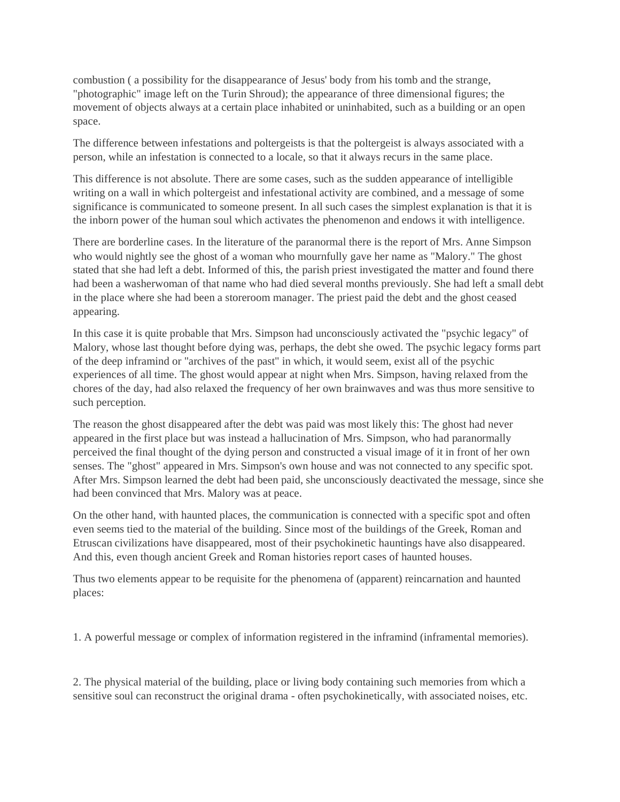combustion ( a possibility for the disappearance of Jesus' body from his tomb and the strange, "photographic" image left on the Turin Shroud); the appearance of three dimensional figures; the movement of objects always at a certain place inhabited or uninhabited, such as a building or an open space.

The difference between infestations and poltergeists is that the poltergeist is always associated with a person, while an infestation is connected to a locale, so that it always recurs in the same place.

This difference is not absolute. There are some cases, such as the sudden appearance of intelligible writing on a wall in which poltergeist and infestational activity are combined, and a message of some significance is communicated to someone present. In all such cases the simplest explanation is that it is the inborn power of the human soul which activates the phenomenon and endows it with intelligence.

There are borderline cases. In the literature of the paranormal there is the report of Mrs. Anne Simpson who would nightly see the ghost of a woman who mournfully gave her name as "Malory." The ghost stated that she had left a debt. Informed of this, the parish priest investigated the matter and found there had been a washerwoman of that name who had died several months previously. She had left a small debt in the place where she had been a storeroom manager. The priest paid the debt and the ghost ceased appearing.

In this case it is quite probable that Mrs. Simpson had unconsciously activated the "psychic legacy" of Malory, whose last thought before dying was, perhaps, the debt she owed. The psychic legacy forms part of the deep inframind or "archives of the past" in which, it would seem, exist all of the psychic experiences of all time. The ghost would appear at night when Mrs. Simpson, having relaxed from the chores of the day, had also relaxed the frequency of her own brainwaves and was thus more sensitive to such perception.

The reason the ghost disappeared after the debt was paid was most likely this: The ghost had never appeared in the first place but was instead a hallucination of Mrs. Simpson, who had paranormally perceived the final thought of the dying person and constructed a visual image of it in front of her own senses. The "ghost" appeared in Mrs. Simpson's own house and was not connected to any specific spot. After Mrs. Simpson learned the debt had been paid, she unconsciously deactivated the message, since she had been convinced that Mrs. Malory was at peace.

On the other hand, with haunted places, the communication is connected with a specific spot and often even seems tied to the material of the building. Since most of the buildings of the Greek, Roman and Etruscan civilizations have disappeared, most of their psychokinetic hauntings have also disappeared. And this, even though ancient Greek and Roman histories report cases of haunted houses.

Thus two elements appear to be requisite for the phenomena of (apparent) reincarnation and haunted places:

1. A powerful message or complex of information registered in the inframind (inframental memories).

2. The physical material of the building, place or living body containing such memories from which a sensitive soul can reconstruct the original drama - often psychokinetically, with associated noises, etc.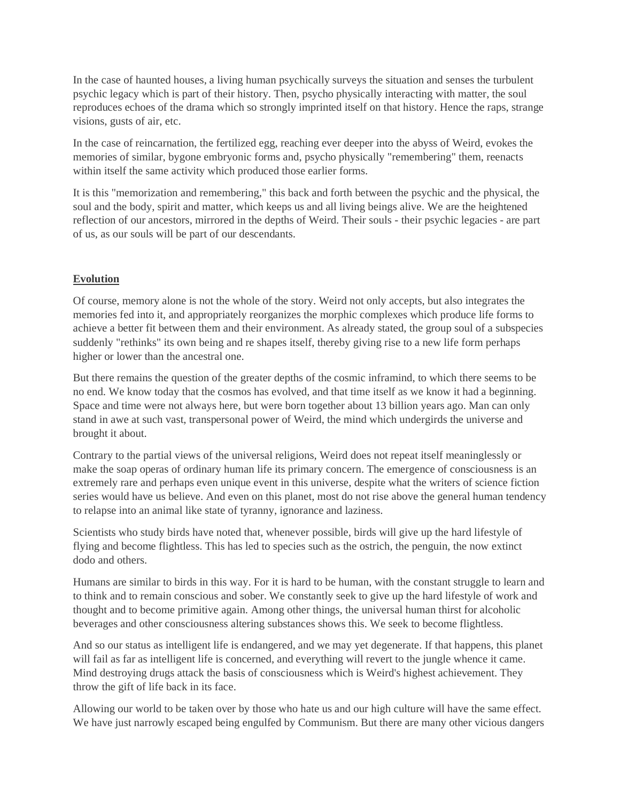In the case of haunted houses, a living human psychically surveys the situation and senses the turbulent psychic legacy which is part of their history. Then, psycho physically interacting with matter, the soul reproduces echoes of the drama which so strongly imprinted itself on that history. Hence the raps, strange visions, gusts of air, etc.

In the case of reincarnation, the fertilized egg, reaching ever deeper into the abyss of Weird, evokes the memories of similar, bygone embryonic forms and, psycho physically "remembering" them, reenacts within itself the same activity which produced those earlier forms.

It is this "memorization and remembering," this back and forth between the psychic and the physical, the soul and the body, spirit and matter, which keeps us and all living beings alive. We are the heightened reflection of our ancestors, mirrored in the depths of Weird. Their souls - their psychic legacies - are part of us, as our souls will be part of our descendants.

# **Evolution**

Of course, memory alone is not the whole of the story. Weird not only accepts, but also integrates the memories fed into it, and appropriately reorganizes the morphic complexes which produce life forms to achieve a better fit between them and their environment. As already stated, the group soul of a subspecies suddenly "rethinks" its own being and re shapes itself, thereby giving rise to a new life form perhaps higher or lower than the ancestral one.

But there remains the question of the greater depths of the cosmic inframind, to which there seems to be no end. We know today that the cosmos has evolved, and that time itself as we know it had a beginning. Space and time were not always here, but were born together about 13 billion years ago. Man can only stand in awe at such vast, transpersonal power of Weird, the mind which undergirds the universe and brought it about.

Contrary to the partial views of the universal religions, Weird does not repeat itself meaninglessly or make the soap operas of ordinary human life its primary concern. The emergence of consciousness is an extremely rare and perhaps even unique event in this universe, despite what the writers of science fiction series would have us believe. And even on this planet, most do not rise above the general human tendency to relapse into an animal like state of tyranny, ignorance and laziness.

Scientists who study birds have noted that, whenever possible, birds will give up the hard lifestyle of flying and become flightless. This has led to species such as the ostrich, the penguin, the now extinct dodo and others.

Humans are similar to birds in this way. For it is hard to be human, with the constant struggle to learn and to think and to remain conscious and sober. We constantly seek to give up the hard lifestyle of work and thought and to become primitive again. Among other things, the universal human thirst for alcoholic beverages and other consciousness altering substances shows this. We seek to become flightless.

And so our status as intelligent life is endangered, and we may yet degenerate. If that happens, this planet will fail as far as intelligent life is concerned, and everything will revert to the jungle whence it came. Mind destroying drugs attack the basis of consciousness which is Weird's highest achievement. They throw the gift of life back in its face.

Allowing our world to be taken over by those who hate us and our high culture will have the same effect. We have just narrowly escaped being engulfed by Communism. But there are many other vicious dangers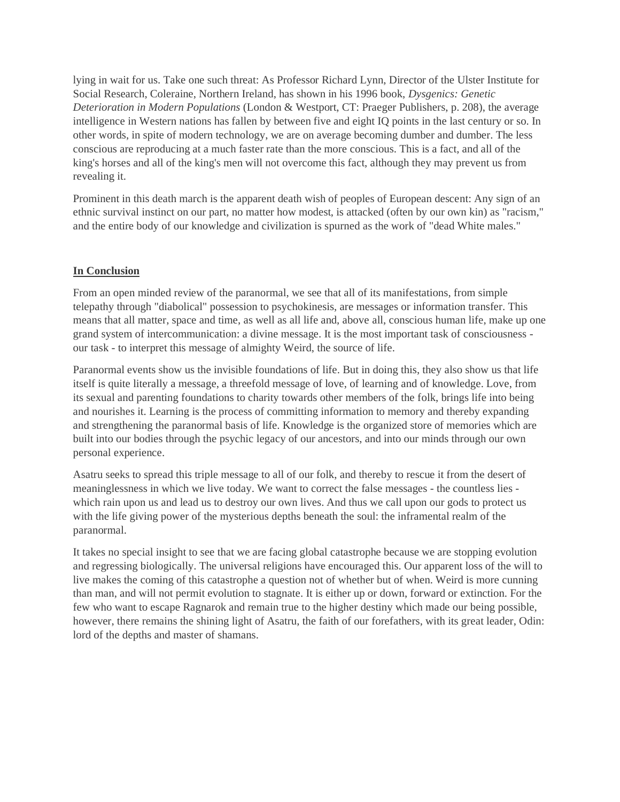lying in wait for us. Take one such threat: As Professor Richard Lynn, Director of the Ulster Institute for Social Research, Coleraine, Northern Ireland, has shown in his 1996 book, *Dysgenics: Genetic Deterioration in Modern Populations* (London & Westport, CT: Praeger Publishers, p. 208), the average intelligence in Western nations has fallen by between five and eight IQ points in the last century or so. In other words, in spite of modern technology, we are on average becoming dumber and dumber. The less conscious are reproducing at a much faster rate than the more conscious. This is a fact, and all of the king's horses and all of the king's men will not overcome this fact, although they may prevent us from revealing it.

Prominent in this death march is the apparent death wish of peoples of European descent: Any sign of an ethnic survival instinct on our part, no matter how modest, is attacked (often by our own kin) as "racism," and the entire body of our knowledge and civilization is spurned as the work of "dead White males."

# **In Conclusion**

From an open minded review of the paranormal, we see that all of its manifestations, from simple telepathy through "diabolical" possession to psychokinesis, are messages or information transfer. This means that all matter, space and time, as well as all life and, above all, conscious human life, make up one grand system of intercommunication: a divine message. It is the most important task of consciousness our task - to interpret this message of almighty Weird, the source of life.

Paranormal events show us the invisible foundations of life. But in doing this, they also show us that life itself is quite literally a message, a threefold message of love, of learning and of knowledge. Love, from its sexual and parenting foundations to charity towards other members of the folk, brings life into being and nourishes it. Learning is the process of committing information to memory and thereby expanding and strengthening the paranormal basis of life. Knowledge is the organized store of memories which are built into our bodies through the psychic legacy of our ancestors, and into our minds through our own personal experience.

Asatru seeks to spread this triple message to all of our folk, and thereby to rescue it from the desert of meaninglessness in which we live today. We want to correct the false messages - the countless lies which rain upon us and lead us to destroy our own lives. And thus we call upon our gods to protect us with the life giving power of the mysterious depths beneath the soul: the inframental realm of the paranormal.

It takes no special insight to see that we are facing global catastrophe because we are stopping evolution and regressing biologically. The universal religions have encouraged this. Our apparent loss of the will to live makes the coming of this catastrophe a question not of whether but of when. Weird is more cunning than man, and will not permit evolution to stagnate. It is either up or down, forward or extinction. For the few who want to escape Ragnarok and remain true to the higher destiny which made our being possible, however, there remains the shining light of Asatru, the faith of our forefathers, with its great leader, Odin: lord of the depths and master of shamans.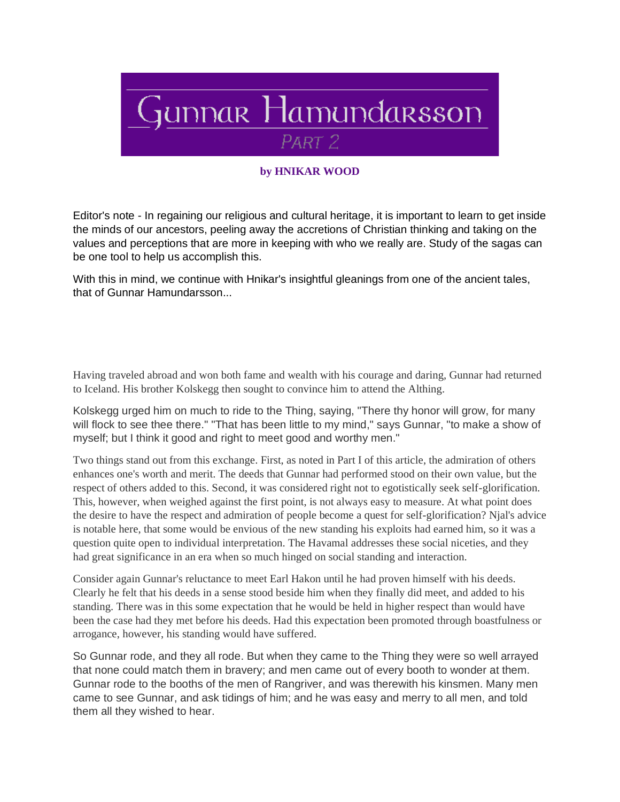

# **by HNIKAR WOOD**

Editor's note - In regaining our religious and cultural heritage, it is important to learn to get inside the minds of our ancestors, peeling away the accretions of Christian thinking and taking on the values and perceptions that are more in keeping with who we really are. Study of the sagas can be one tool to help us accomplish this.

With this in mind, we continue with Hnikar's insightful gleanings from one of the ancient tales, that of Gunnar Hamundarsson...

Having traveled abroad and won both fame and wealth with his courage and daring, Gunnar had returned to Iceland. His brother Kolskegg then sought to convince him to attend the Althing.

Kolskegg urged him on much to ride to the Thing, saying, "There thy honor will grow, for many will flock to see thee there." "That has been little to my mind," says Gunnar, "to make a show of myself; but I think it good and right to meet good and worthy men."

Two things stand out from this exchange. First, as noted in Part I of this article, the admiration of others enhances one's worth and merit. The deeds that Gunnar had performed stood on their own value, but the respect of others added to this. Second, it was considered right not to egotistically seek self-glorification. This, however, when weighed against the first point, is not always easy to measure. At what point does the desire to have the respect and admiration of people become a quest for self-glorification? Njal's advice is notable here, that some would be envious of the new standing his exploits had earned him, so it was a question quite open to individual interpretation. The Havamal addresses these social niceties, and they had great significance in an era when so much hinged on social standing and interaction.

Consider again Gunnar's reluctance to meet Earl Hakon until he had proven himself with his deeds. Clearly he felt that his deeds in a sense stood beside him when they finally did meet, and added to his standing. There was in this some expectation that he would be held in higher respect than would have been the case had they met before his deeds. Had this expectation been promoted through boastfulness or arrogance, however, his standing would have suffered.

So Gunnar rode, and they all rode. But when they came to the Thing they were so well arrayed that none could match them in bravery; and men came out of every booth to wonder at them. Gunnar rode to the booths of the men of Rangriver, and was therewith his kinsmen. Many men came to see Gunnar, and ask tidings of him; and he was easy and merry to all men, and told them all they wished to hear.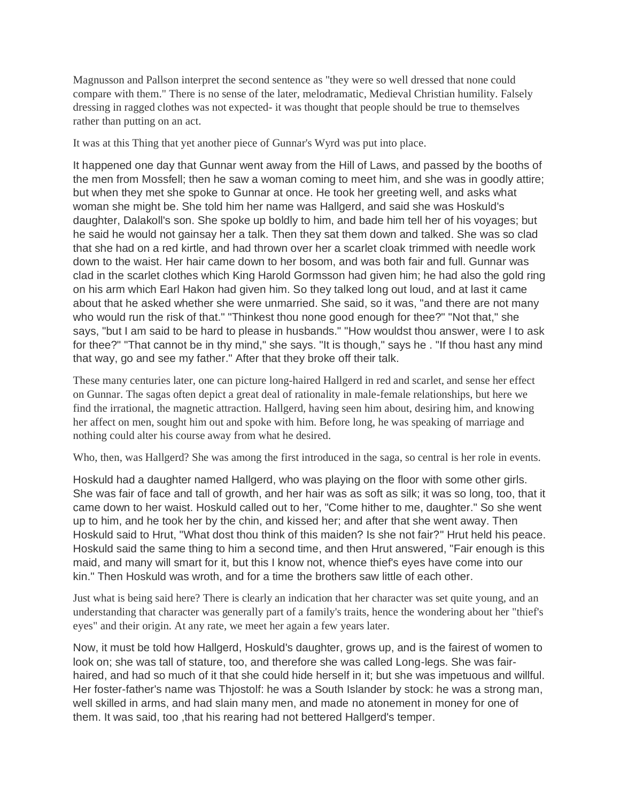Magnusson and Pallson interpret the second sentence as "they were so well dressed that none could compare with them." There is no sense of the later, melodramatic, Medieval Christian humility. Falsely dressing in ragged clothes was not expected- it was thought that people should be true to themselves rather than putting on an act.

It was at this Thing that yet another piece of Gunnar's Wyrd was put into place.

It happened one day that Gunnar went away from the Hill of Laws, and passed by the booths of the men from Mossfell; then he saw a woman coming to meet him, and she was in goodly attire; but when they met she spoke to Gunnar at once. He took her greeting well, and asks what woman she might be. She told him her name was Hallgerd, and said she was Hoskuld's daughter, Dalakoll's son. She spoke up boldly to him, and bade him tell her of his voyages; but he said he would not gainsay her a talk. Then they sat them down and talked. She was so clad that she had on a red kirtle, and had thrown over her a scarlet cloak trimmed with needle work down to the waist. Her hair came down to her bosom, and was both fair and full. Gunnar was clad in the scarlet clothes which King Harold Gormsson had given him; he had also the gold ring on his arm which Earl Hakon had given him. So they talked long out loud, and at last it came about that he asked whether she were unmarried. She said, so it was, "and there are not many who would run the risk of that." "Thinkest thou none good enough for thee?" "Not that," she says, "but I am said to be hard to please in husbands." "How wouldst thou answer, were I to ask for thee?" "That cannot be in thy mind," she says. "It is though," says he . "If thou hast any mind that way, go and see my father." After that they broke off their talk.

These many centuries later, one can picture long-haired Hallgerd in red and scarlet, and sense her effect on Gunnar. The sagas often depict a great deal of rationality in male-female relationships, but here we find the irrational, the magnetic attraction. Hallgerd, having seen him about, desiring him, and knowing her affect on men, sought him out and spoke with him. Before long, he was speaking of marriage and nothing could alter his course away from what he desired.

Who, then, was Hallgerd? She was among the first introduced in the saga, so central is her role in events.

Hoskuld had a daughter named Hallgerd, who was playing on the floor with some other girls. She was fair of face and tall of growth, and her hair was as soft as silk; it was so long, too, that it came down to her waist. Hoskuld called out to her, "Come hither to me, daughter." So she went up to him, and he took her by the chin, and kissed her; and after that she went away. Then Hoskuld said to Hrut, "What dost thou think of this maiden? Is she not fair?" Hrut held his peace. Hoskuld said the same thing to him a second time, and then Hrut answered, "Fair enough is this maid, and many will smart for it, but this I know not, whence thief's eyes have come into our kin." Then Hoskuld was wroth, and for a time the brothers saw little of each other.

Just what is being said here? There is clearly an indication that her character was set quite young, and an understanding that character was generally part of a family's traits, hence the wondering about her "thief's eyes" and their origin. At any rate, we meet her again a few years later.

Now, it must be told how Hallgerd, Hoskuld's daughter, grows up, and is the fairest of women to look on; she was tall of stature, too, and therefore she was called Long-legs. She was fairhaired, and had so much of it that she could hide herself in it; but she was impetuous and willful. Her foster-father's name was Thjostolf: he was a South Islander by stock: he was a strong man, well skilled in arms, and had slain many men, and made no atonement in money for one of them. It was said, too ,that his rearing had not bettered Hallgerd's temper.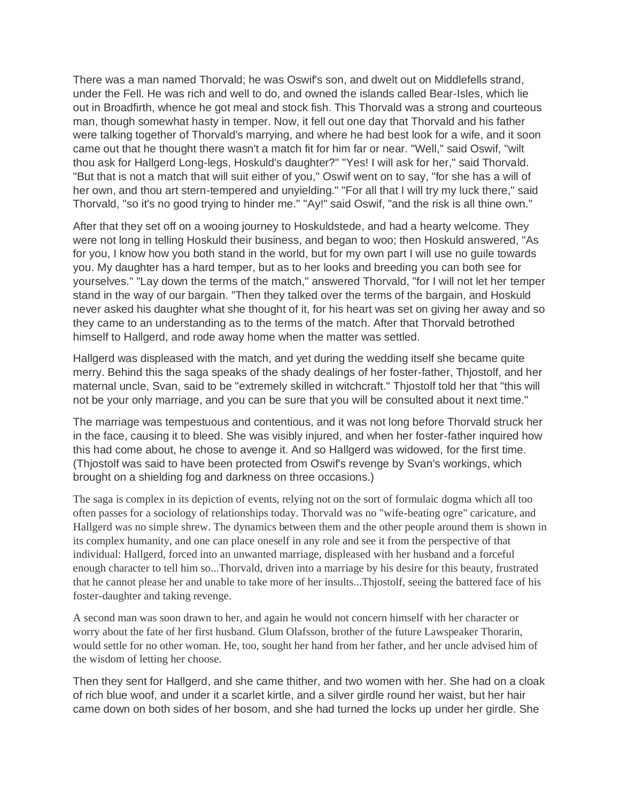There was a man named Thorvald; he was Oswif's son, and dwelt out on Middlefells strand, under the Fell. He was rich and well to do, and owned the islands called Bear-Isles, which lie out in Broadfirth, whence he got meal and stock fish. This Thorvald was a strong and courteous man, though somewhat hasty in temper. Now, it fell out one day that Thorvald and his father were talking together of Thorvald's marrying, and where he had best look for a wife, and it soon came out that he thought there wasn't a match fit for him far or near. "Well," said Oswif, "wilt thou ask for Hallgerd Long-legs, Hoskuld's daughter?" "Yes! I will ask for her," said Thorvald. "But that is not a match that will suit either of you," Oswif went on to say, "for she has a will of her own, and thou art stern-tempered and unyielding." "For all that I will try my luck there," said Thorvald, "so it's no good trying to hinder me." "Ay!" said Oswif, "and the risk is all thine own."

After that they set off on a wooing journey to Hoskuldstede, and had a hearty welcome. They were not long in telling Hoskuld their business, and began to woo; then Hoskuld answered, "As for you, I know how you both stand in the world, but for my own part I will use no guile towards you. My daughter has a hard temper, but as to her looks and breeding you can both see for yourselves." "Lay down the terms of the match," answered Thorvald, "for I will not let her temper stand in the way of our bargain. "Then they talked over the terms of the bargain, and Hoskuld never asked his daughter what she thought of it, for his heart was set on giving her away and so they came to an understanding as to the terms of the match. After that Thorvald betrothed himself to Hallgerd, and rode away home when the matter was settled.

Hallgerd was displeased with the match, and yet during the wedding itself she became quite merry. Behind this the saga speaks of the shady dealings of her foster-father, Thjostolf, and her maternal uncle, Svan, said to be "extremely skilled in witchcraft." Thjostolf told her that "this will not be your only marriage, and you can be sure that you will be consulted about it next time."

The marriage was tempestuous and contentious, and it was not long before Thorvald struck her in the face, causing it to bleed. She was visibly injured, and when her foster-father inquired how this had come about, he chose to avenge it. And so Hallgerd was widowed, for the first time. (Thjostolf was said to have been protected from Oswif's revenge by Svan's workings, which brought on a shielding fog and darkness on three occasions.)

The saga is complex in its depiction of events, relying not on the sort of formulaic dogma which all too often passes for a sociology of relationships today. Thorvald was no "wife-beating ogre" caricature, and Hallgerd was no simple shrew. The dynamics between them and the other people around them is shown in its complex humanity, and one can place oneself in any role and see it from the perspective of that individual: Hallgerd, forced into an unwanted marriage, displeased with her husband and a forceful enough character to tell him so...Thorvald, driven into a marriage by his desire for this beauty, frustrated that he cannot please her and unable to take more of her insults...Thjostolf, seeing the battered face of his foster-daughter and taking revenge.

A second man was soon drawn to her, and again he would not concern himself with her character or worry about the fate of her first husband. Glum Olafsson, brother of the future Lawspeaker Thorarin, would settle for no other woman. He, too, sought her hand from her father, and her uncle advised him of the wisdom of letting her choose.

Then they sent for Hallgerd, and she came thither, and two women with her. She had on a cloak of rich blue woof, and under it a scarlet kirtle, and a silver girdle round her waist, but her hair came down on both sides of her bosom, and she had turned the locks up under her girdle. She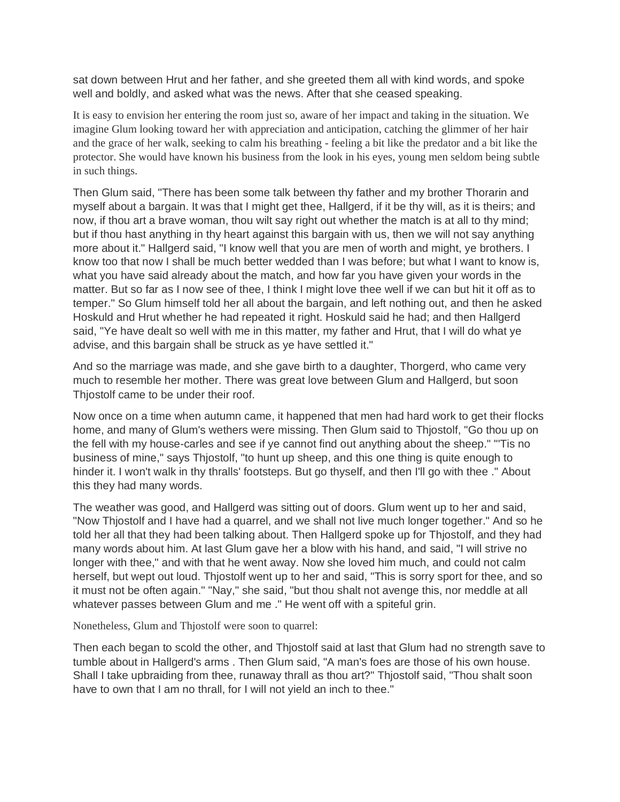sat down between Hrut and her father, and she greeted them all with kind words, and spoke well and boldly, and asked what was the news. After that she ceased speaking.

It is easy to envision her entering the room just so, aware of her impact and taking in the situation. We imagine Glum looking toward her with appreciation and anticipation, catching the glimmer of her hair and the grace of her walk, seeking to calm his breathing - feeling a bit like the predator and a bit like the protector. She would have known his business from the look in his eyes, young men seldom being subtle in such things.

Then Glum said, "There has been some talk between thy father and my brother Thorarin and myself about a bargain. It was that I might get thee, Hallgerd, if it be thy will, as it is theirs; and now, if thou art a brave woman, thou wilt say right out whether the match is at all to thy mind; but if thou hast anything in thy heart against this bargain with us, then we will not say anything more about it." Hallgerd said, "I know well that you are men of worth and might, ye brothers. I know too that now I shall be much better wedded than I was before; but what I want to know is, what you have said already about the match, and how far you have given your words in the matter. But so far as I now see of thee, I think I might love thee well if we can but hit it off as to temper." So Glum himself told her all about the bargain, and left nothing out, and then he asked Hoskuld and Hrut whether he had repeated it right. Hoskuld said he had; and then Hallgerd said, "Ye have dealt so well with me in this matter, my father and Hrut, that I will do what ye advise, and this bargain shall be struck as ye have settled it."

And so the marriage was made, and she gave birth to a daughter, Thorgerd, who came very much to resemble her mother. There was great love between Glum and Hallgerd, but soon Thiostolf came to be under their roof.

Now once on a time when autumn came, it happened that men had hard work to get their flocks home, and many of Glum's wethers were missing. Then Glum said to Thjostolf, "Go thou up on the fell with my house-carles and see if ye cannot find out anything about the sheep." "'Tis no business of mine," says Thjostolf, "to hunt up sheep, and this one thing is quite enough to hinder it. I won't walk in thy thralls' footsteps. But go thyself, and then I'll go with thee ." About this they had many words.

The weather was good, and Hallgerd was sitting out of doors. Glum went up to her and said, "Now Thjostolf and I have had a quarrel, and we shall not live much longer together." And so he told her all that they had been talking about. Then Hallgerd spoke up for Thjostolf, and they had many words about him. At last Glum gave her a blow with his hand, and said, "I will strive no longer with thee," and with that he went away. Now she loved him much, and could not calm herself, but wept out loud. Thjostolf went up to her and said, "This is sorry sport for thee, and so it must not be often again." "Nay," she said, "but thou shalt not avenge this, nor meddle at all whatever passes between Glum and me ." He went off with a spiteful grin.

Nonetheless, Glum and Thjostolf were soon to quarrel:

Then each began to scold the other, and Thjostolf said at last that Glum had no strength save to tumble about in Hallgerd's arms . Then Glum said, "A man's foes are those of his own house. Shall I take upbraiding from thee, runaway thrall as thou art?" Thjostolf said, "Thou shalt soon have to own that I am no thrall, for I will not yield an inch to thee."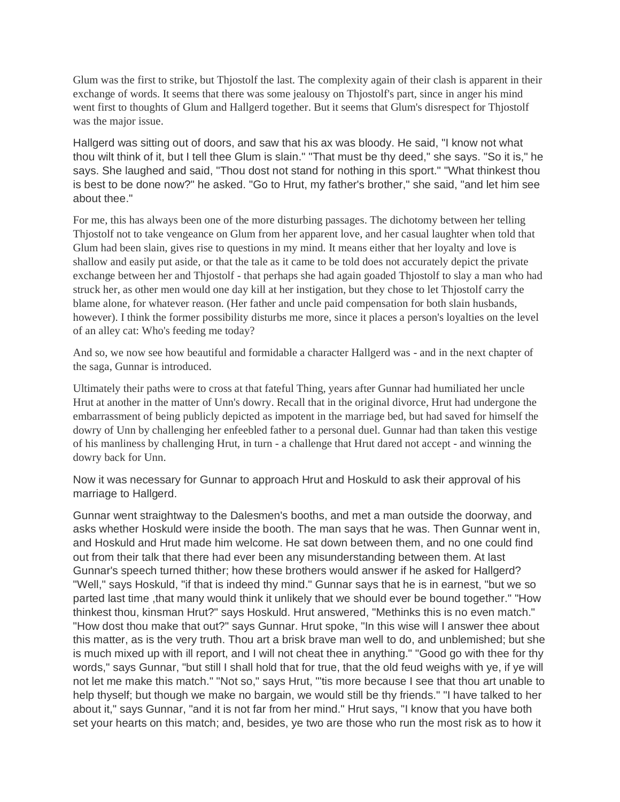Glum was the first to strike, but Thjostolf the last. The complexity again of their clash is apparent in their exchange of words. It seems that there was some jealousy on Thjostolf's part, since in anger his mind went first to thoughts of Glum and Hallgerd together. But it seems that Glum's disrespect for Thjostolf was the major issue.

Hallgerd was sitting out of doors, and saw that his ax was bloody. He said, "I know not what thou wilt think of it, but I tell thee Glum is slain." "That must be thy deed," she says. "So it is," he says. She laughed and said, "Thou dost not stand for nothing in this sport." "What thinkest thou is best to be done now?" he asked. "Go to Hrut, my father's brother," she said, "and let him see about thee."

For me, this has always been one of the more disturbing passages. The dichotomy between her telling Thjostolf not to take vengeance on Glum from her apparent love, and her casual laughter when told that Glum had been slain, gives rise to questions in my mind. It means either that her loyalty and love is shallow and easily put aside, or that the tale as it came to be told does not accurately depict the private exchange between her and Thjostolf - that perhaps she had again goaded Thjostolf to slay a man who had struck her, as other men would one day kill at her instigation, but they chose to let Thjostolf carry the blame alone, for whatever reason. (Her father and uncle paid compensation for both slain husbands, however). I think the former possibility disturbs me more, since it places a person's loyalties on the level of an alley cat: Who's feeding me today?

And so, we now see how beautiful and formidable a character Hallgerd was - and in the next chapter of the saga, Gunnar is introduced.

Ultimately their paths were to cross at that fateful Thing, years after Gunnar had humiliated her uncle Hrut at another in the matter of Unn's dowry. Recall that in the original divorce, Hrut had undergone the embarrassment of being publicly depicted as impotent in the marriage bed, but had saved for himself the dowry of Unn by challenging her enfeebled father to a personal duel. Gunnar had than taken this vestige of his manliness by challenging Hrut, in turn - a challenge that Hrut dared not accept - and winning the dowry back for Unn.

Now it was necessary for Gunnar to approach Hrut and Hoskuld to ask their approval of his marriage to Hallgerd.

Gunnar went straightway to the Dalesmen's booths, and met a man outside the doorway, and asks whether Hoskuld were inside the booth. The man says that he was. Then Gunnar went in, and Hoskuld and Hrut made him welcome. He sat down between them, and no one could find out from their talk that there had ever been any misunderstanding between them. At last Gunnar's speech turned thither; how these brothers would answer if he asked for Hallgerd? "Well," says Hoskuld, "if that is indeed thy mind." Gunnar says that he is in earnest, "but we so parted last time, that many would think it unlikely that we should ever be bound together." "How thinkest thou, kinsman Hrut?" says Hoskuld. Hrut answered, "Methinks this is no even match." "How dost thou make that out?" says Gunnar. Hrut spoke, "In this wise will I answer thee about this matter, as is the very truth. Thou art a brisk brave man well to do, and unblemished; but she is much mixed up with ill report, and I will not cheat thee in anything." "Good go with thee for thy words," says Gunnar, "but still I shall hold that for true, that the old feud weighs with ye, if ye will not let me make this match." "Not so," says Hrut, "'tis more because I see that thou art unable to help thyself; but though we make no bargain, we would still be thy friends." "I have talked to her about it," says Gunnar, "and it is not far from her mind." Hrut says, "I know that you have both set your hearts on this match; and, besides, ye two are those who run the most risk as to how it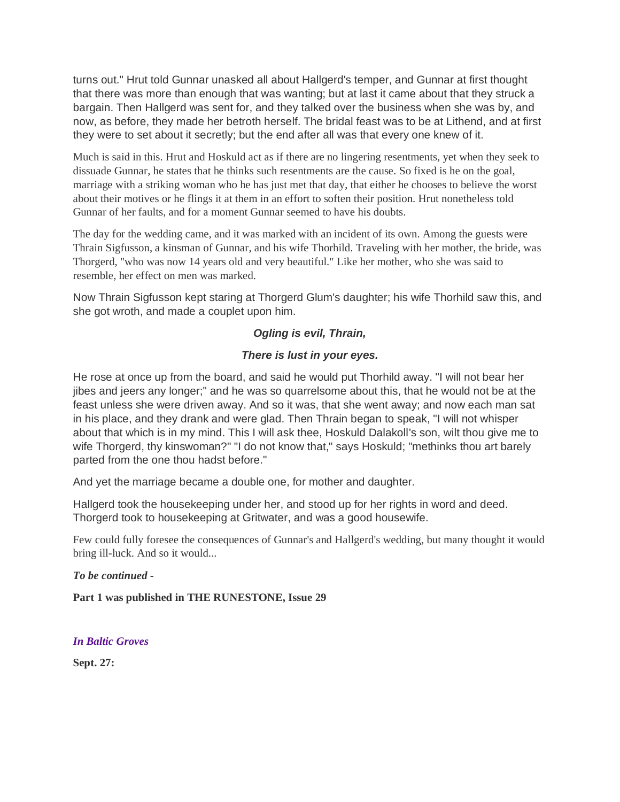turns out." Hrut told Gunnar unasked all about Hallgerd's temper, and Gunnar at first thought that there was more than enough that was wanting; but at last it came about that they struck a bargain. Then Hallgerd was sent for, and they talked over the business when she was by, and now, as before, they made her betroth herself. The bridal feast was to be at Lithend, and at first they were to set about it secretly; but the end after all was that every one knew of it.

Much is said in this. Hrut and Hoskuld act as if there are no lingering resentments, yet when they seek to dissuade Gunnar, he states that he thinks such resentments are the cause. So fixed is he on the goal, marriage with a striking woman who he has just met that day, that either he chooses to believe the worst about their motives or he flings it at them in an effort to soften their position. Hrut nonetheless told Gunnar of her faults, and for a moment Gunnar seemed to have his doubts.

The day for the wedding came, and it was marked with an incident of its own. Among the guests were Thrain Sigfusson, a kinsman of Gunnar, and his wife Thorhild. Traveling with her mother, the bride, was Thorgerd, "who was now 14 years old and very beautiful." Like her mother, who she was said to resemble, her effect on men was marked.

Now Thrain Sigfusson kept staring at Thorgerd Glum's daughter; his wife Thorhild saw this, and she got wroth, and made a couplet upon him.

# *Ogling is evil, Thrain,*

# *There is lust in your eyes.*

He rose at once up from the board, and said he would put Thorhild away. "I will not bear her jibes and jeers any longer;" and he was so quarrelsome about this, that he would not be at the feast unless she were driven away. And so it was, that she went away; and now each man sat in his place, and they drank and were glad. Then Thrain began to speak, "I will not whisper about that which is in my mind. This I will ask thee, Hoskuld Dalakoll's son, wilt thou give me to wife Thorgerd, thy kinswoman?" "I do not know that," says Hoskuld; "methinks thou art barely parted from the one thou hadst before."

And yet the marriage became a double one, for mother and daughter.

Hallgerd took the housekeeping under her, and stood up for her rights in word and deed. Thorgerd took to housekeeping at Gritwater, and was a good housewife.

Few could fully foresee the consequences of Gunnar's and Hallgerd's wedding, but many thought it would bring ill-luck. And so it would...

# *To be continued -*

**Part 1 was published in THE RUNESTONE, Issue 29**

# *In Baltic Groves*

**Sept. 27:**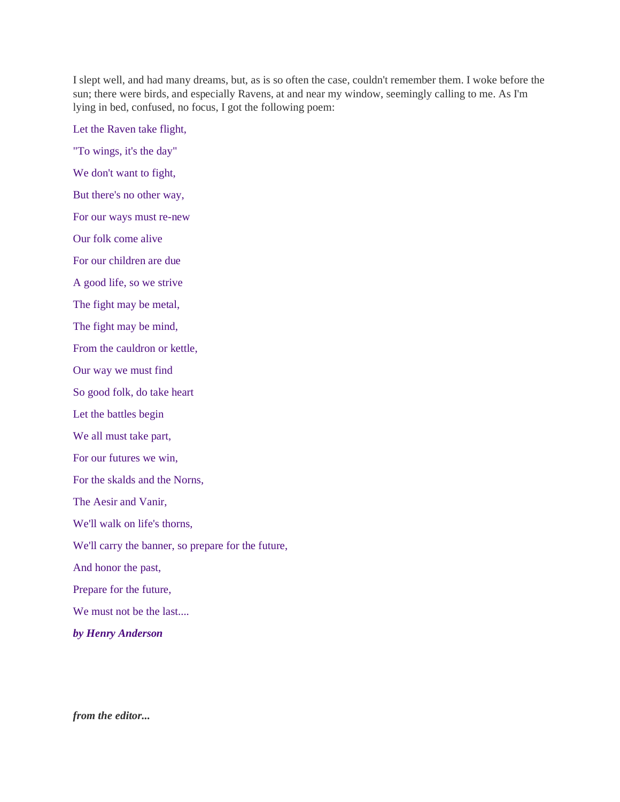I slept well, and had many dreams, but, as is so often the case, couldn't remember them. I woke before the sun; there were birds, and especially Ravens, at and near my window, seemingly calling to me. As I'm lying in bed, confused, no focus, I got the following poem:

Let the Raven take flight,

"To wings, it's the day"

We don't want to fight,

But there's no other way,

For our ways must re-new

Our folk come alive

For our children are due

A good life, so we strive

The fight may be metal,

The fight may be mind,

From the cauldron or kettle,

Our way we must find

So good folk, do take heart

Let the battles begin

We all must take part,

For our futures we win,

For the skalds and the Norns,

The Aesir and Vanir,

We'll walk on life's thorns,

We'll carry the banner, so prepare for the future,

And honor the past,

Prepare for the future,

We must not be the last....

*by Henry Anderson*

*from the editor...*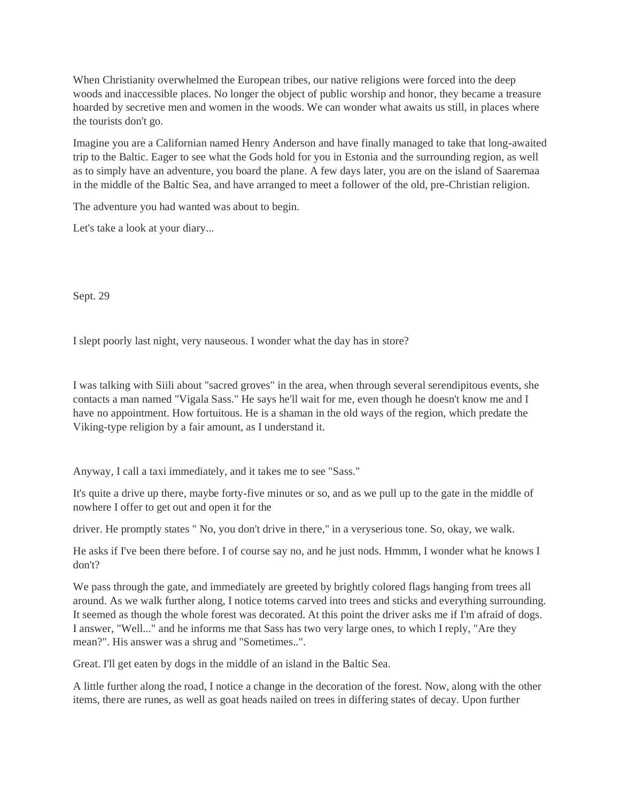When Christianity overwhelmed the European tribes, our native religions were forced into the deep woods and inaccessible places. No longer the object of public worship and honor, they became a treasure hoarded by secretive men and women in the woods. We can wonder what awaits us still, in places where the tourists don't go.

Imagine you are a Californian named Henry Anderson and have finally managed to take that long-awaited trip to the Baltic. Eager to see what the Gods hold for you in Estonia and the surrounding region, as well as to simply have an adventure, you board the plane. A few days later, you are on the island of Saaremaa in the middle of the Baltic Sea, and have arranged to meet a follower of the old, pre-Christian religion.

The adventure you had wanted was about to begin.

Let's take a look at your diary...

Sept. 29

I slept poorly last night, very nauseous. I wonder what the day has in store?

I was talking with Siili about "sacred groves" in the area, when through several serendipitous events, she contacts a man named "Vigala Sass." He says he'll wait for me, even though he doesn't know me and I have no appointment. How fortuitous. He is a shaman in the old ways of the region, which predate the Viking-type religion by a fair amount, as I understand it.

Anyway, I call a taxi immediately, and it takes me to see "Sass."

It's quite a drive up there, maybe forty-five minutes or so, and as we pull up to the gate in the middle of nowhere I offer to get out and open it for the

driver. He promptly states " No, you don't drive in there," in a veryserious tone. So, okay, we walk.

He asks if I've been there before. I of course say no, and he just nods. Hmmm, I wonder what he knows I don't?

We pass through the gate, and immediately are greeted by brightly colored flags hanging from trees all around. As we walk further along, I notice totems carved into trees and sticks and everything surrounding. It seemed as though the whole forest was decorated. At this point the driver asks me if I'm afraid of dogs. I answer, "Well..." and he informs me that Sass has two very large ones, to which I reply, "Are they mean?". His answer was a shrug and "Sometimes..".

Great. I'll get eaten by dogs in the middle of an island in the Baltic Sea.

A little further along the road, I notice a change in the decoration of the forest. Now, along with the other items, there are runes, as well as goat heads nailed on trees in differing states of decay. Upon further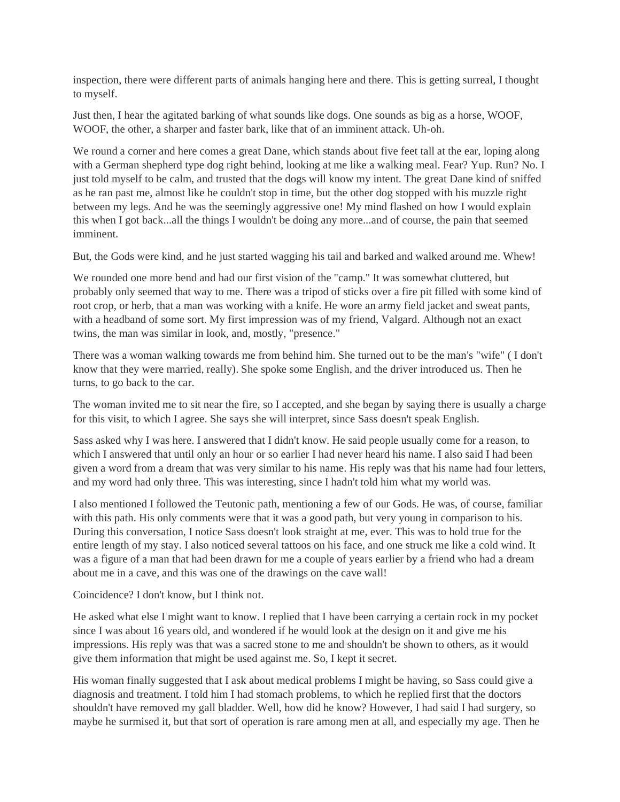inspection, there were different parts of animals hanging here and there. This is getting surreal, I thought to myself.

Just then, I hear the agitated barking of what sounds like dogs. One sounds as big as a horse, WOOF, WOOF, the other, a sharper and faster bark, like that of an imminent attack. Uh-oh.

We round a corner and here comes a great Dane, which stands about five feet tall at the ear, loping along with a German shepherd type dog right behind, looking at me like a walking meal. Fear? Yup. Run? No. I just told myself to be calm, and trusted that the dogs will know my intent. The great Dane kind of sniffed as he ran past me, almost like he couldn't stop in time, but the other dog stopped with his muzzle right between my legs. And he was the seemingly aggressive one! My mind flashed on how I would explain this when I got back...all the things I wouldn't be doing any more...and of course, the pain that seemed imminent.

But, the Gods were kind, and he just started wagging his tail and barked and walked around me. Whew!

We rounded one more bend and had our first vision of the "camp." It was somewhat cluttered, but probably only seemed that way to me. There was a tripod of sticks over a fire pit filled with some kind of root crop, or herb, that a man was working with a knife. He wore an army field jacket and sweat pants, with a headband of some sort. My first impression was of my friend, Valgard. Although not an exact twins, the man was similar in look, and, mostly, "presence."

There was a woman walking towards me from behind him. She turned out to be the man's "wife" ( I don't know that they were married, really). She spoke some English, and the driver introduced us. Then he turns, to go back to the car.

The woman invited me to sit near the fire, so I accepted, and she began by saying there is usually a charge for this visit, to which I agree. She says she will interpret, since Sass doesn't speak English.

Sass asked why I was here. I answered that I didn't know. He said people usually come for a reason, to which I answered that until only an hour or so earlier I had never heard his name. I also said I had been given a word from a dream that was very similar to his name. His reply was that his name had four letters, and my word had only three. This was interesting, since I hadn't told him what my world was.

I also mentioned I followed the Teutonic path, mentioning a few of our Gods. He was, of course, familiar with this path. His only comments were that it was a good path, but very young in comparison to his. During this conversation, I notice Sass doesn't look straight at me, ever. This was to hold true for the entire length of my stay. I also noticed several tattoos on his face, and one struck me like a cold wind. It was a figure of a man that had been drawn for me a couple of years earlier by a friend who had a dream about me in a cave, and this was one of the drawings on the cave wall!

Coincidence? I don't know, but I think not.

He asked what else I might want to know. I replied that I have been carrying a certain rock in my pocket since I was about 16 years old, and wondered if he would look at the design on it and give me his impressions. His reply was that was a sacred stone to me and shouldn't be shown to others, as it would give them information that might be used against me. So, I kept it secret.

His woman finally suggested that I ask about medical problems I might be having, so Sass could give a diagnosis and treatment. I told him I had stomach problems, to which he replied first that the doctors shouldn't have removed my gall bladder. Well, how did he know? However, I had said I had surgery, so maybe he surmised it, but that sort of operation is rare among men at all, and especially my age. Then he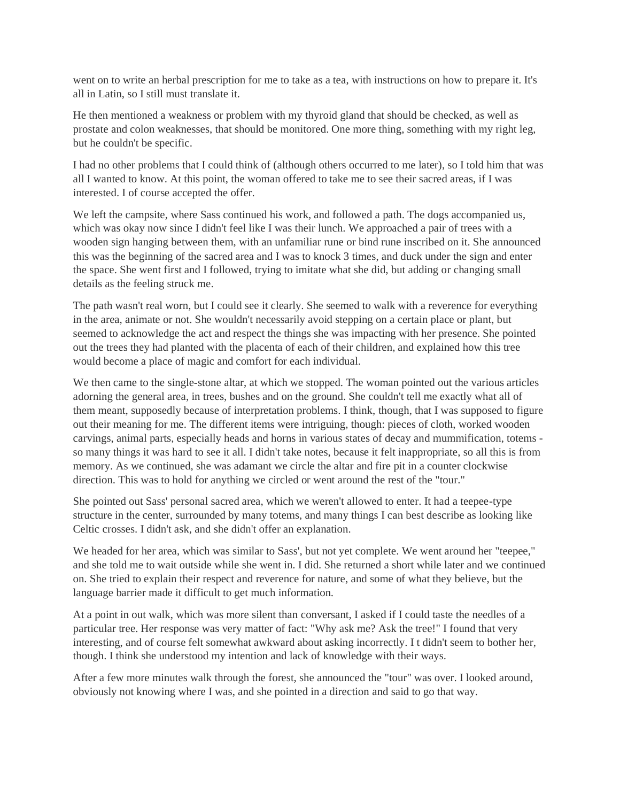went on to write an herbal prescription for me to take as a tea, with instructions on how to prepare it. It's all in Latin, so I still must translate it.

He then mentioned a weakness or problem with my thyroid gland that should be checked, as well as prostate and colon weaknesses, that should be monitored. One more thing, something with my right leg, but he couldn't be specific.

I had no other problems that I could think of (although others occurred to me later), so I told him that was all I wanted to know. At this point, the woman offered to take me to see their sacred areas, if I was interested. I of course accepted the offer.

We left the campsite, where Sass continued his work, and followed a path. The dogs accompanied us, which was okay now since I didn't feel like I was their lunch. We approached a pair of trees with a wooden sign hanging between them, with an unfamiliar rune or bind rune inscribed on it. She announced this was the beginning of the sacred area and I was to knock 3 times, and duck under the sign and enter the space. She went first and I followed, trying to imitate what she did, but adding or changing small details as the feeling struck me.

The path wasn't real worn, but I could see it clearly. She seemed to walk with a reverence for everything in the area, animate or not. She wouldn't necessarily avoid stepping on a certain place or plant, but seemed to acknowledge the act and respect the things she was impacting with her presence. She pointed out the trees they had planted with the placenta of each of their children, and explained how this tree would become a place of magic and comfort for each individual.

We then came to the single-stone altar, at which we stopped. The woman pointed out the various articles adorning the general area, in trees, bushes and on the ground. She couldn't tell me exactly what all of them meant, supposedly because of interpretation problems. I think, though, that I was supposed to figure out their meaning for me. The different items were intriguing, though: pieces of cloth, worked wooden carvings, animal parts, especially heads and horns in various states of decay and mummification, totems so many things it was hard to see it all. I didn't take notes, because it felt inappropriate, so all this is from memory. As we continued, she was adamant we circle the altar and fire pit in a counter clockwise direction. This was to hold for anything we circled or went around the rest of the "tour."

She pointed out Sass' personal sacred area, which we weren't allowed to enter. It had a teepee-type structure in the center, surrounded by many totems, and many things I can best describe as looking like Celtic crosses. I didn't ask, and she didn't offer an explanation.

We headed for her area, which was similar to Sass', but not yet complete. We went around her "teepee," and she told me to wait outside while she went in. I did. She returned a short while later and we continued on. She tried to explain their respect and reverence for nature, and some of what they believe, but the language barrier made it difficult to get much information.

At a point in out walk, which was more silent than conversant, I asked if I could taste the needles of a particular tree. Her response was very matter of fact: "Why ask me? Ask the tree!" I found that very interesting, and of course felt somewhat awkward about asking incorrectly. I t didn't seem to bother her, though. I think she understood my intention and lack of knowledge with their ways.

After a few more minutes walk through the forest, she announced the "tour" was over. I looked around, obviously not knowing where I was, and she pointed in a direction and said to go that way.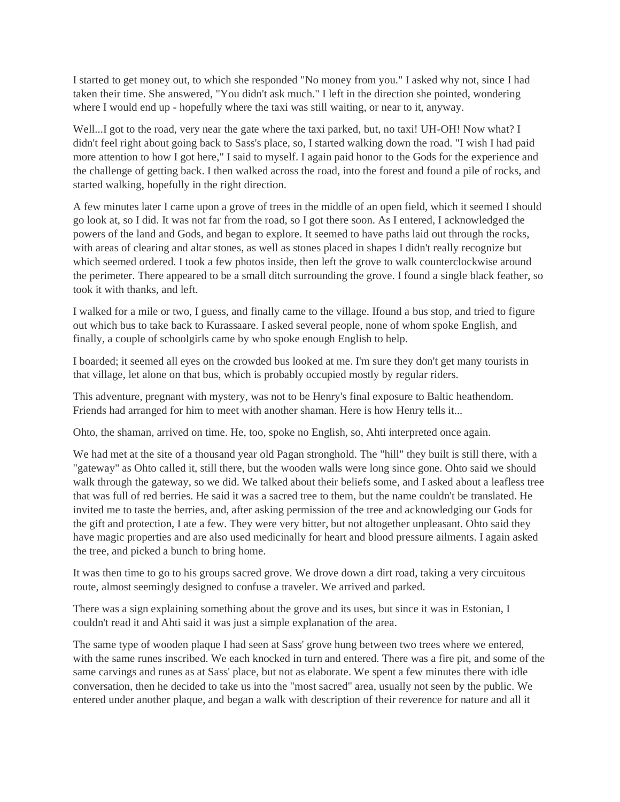I started to get money out, to which she responded "No money from you." I asked why not, since I had taken their time. She answered, "You didn't ask much." I left in the direction she pointed, wondering where I would end up - hopefully where the taxi was still waiting, or near to it, anyway.

Well...I got to the road, very near the gate where the taxi parked, but, no taxi! UH-OH! Now what? I didn't feel right about going back to Sass's place, so, I started walking down the road. "I wish I had paid more attention to how I got here," I said to myself. I again paid honor to the Gods for the experience and the challenge of getting back. I then walked across the road, into the forest and found a pile of rocks, and started walking, hopefully in the right direction.

A few minutes later I came upon a grove of trees in the middle of an open field, which it seemed I should go look at, so I did. It was not far from the road, so I got there soon. As I entered, I acknowledged the powers of the land and Gods, and began to explore. It seemed to have paths laid out through the rocks, with areas of clearing and altar stones, as well as stones placed in shapes I didn't really recognize but which seemed ordered. I took a few photos inside, then left the grove to walk counterclockwise around the perimeter. There appeared to be a small ditch surrounding the grove. I found a single black feather, so took it with thanks, and left.

I walked for a mile or two, I guess, and finally came to the village. Ifound a bus stop, and tried to figure out which bus to take back to Kurassaare. I asked several people, none of whom spoke English, and finally, a couple of schoolgirls came by who spoke enough English to help.

I boarded; it seemed all eyes on the crowded bus looked at me. I'm sure they don't get many tourists in that village, let alone on that bus, which is probably occupied mostly by regular riders.

This adventure, pregnant with mystery, was not to be Henry's final exposure to Baltic heathendom. Friends had arranged for him to meet with another shaman. Here is how Henry tells it...

Ohto, the shaman, arrived on time. He, too, spoke no English, so, Ahti interpreted once again.

We had met at the site of a thousand year old Pagan stronghold. The "hill" they built is still there, with a "gateway" as Ohto called it, still there, but the wooden walls were long since gone. Ohto said we should walk through the gateway, so we did. We talked about their beliefs some, and I asked about a leafless tree that was full of red berries. He said it was a sacred tree to them, but the name couldn't be translated. He invited me to taste the berries, and, after asking permission of the tree and acknowledging our Gods for the gift and protection, I ate a few. They were very bitter, but not altogether unpleasant. Ohto said they have magic properties and are also used medicinally for heart and blood pressure ailments. I again asked the tree, and picked a bunch to bring home.

It was then time to go to his groups sacred grove. We drove down a dirt road, taking a very circuitous route, almost seemingly designed to confuse a traveler. We arrived and parked.

There was a sign explaining something about the grove and its uses, but since it was in Estonian, I couldn't read it and Ahti said it was just a simple explanation of the area.

The same type of wooden plaque I had seen at Sass' grove hung between two trees where we entered, with the same runes inscribed. We each knocked in turn and entered. There was a fire pit, and some of the same carvings and runes as at Sass' place, but not as elaborate. We spent a few minutes there with idle conversation, then he decided to take us into the "most sacred" area, usually not seen by the public. We entered under another plaque, and began a walk with description of their reverence for nature and all it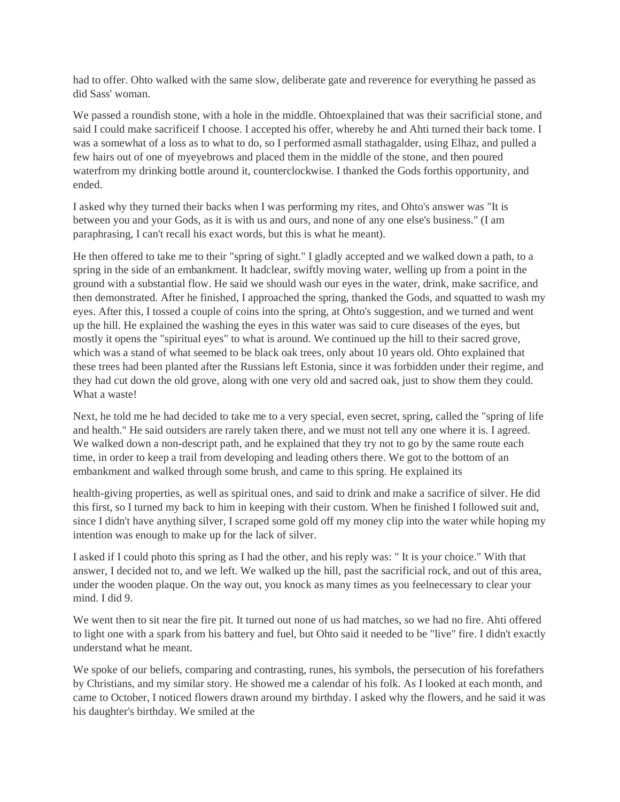had to offer. Ohto walked with the same slow, deliberate gate and reverence for everything he passed as did Sass' woman.

We passed a roundish stone, with a hole in the middle. Ohtoexplained that was their sacrificial stone, and said I could make sacrificeif I choose. I accepted his offer, whereby he and Ahti turned their back tome. I was a somewhat of a loss as to what to do, so I performed asmall stathagalder, using Elhaz, and pulled a few hairs out of one of myeyebrows and placed them in the middle of the stone, and then poured waterfrom my drinking bottle around it, counterclockwise. I thanked the Gods forthis opportunity, and ended.

I asked why they turned their backs when I was performing my rites, and Ohto's answer was "It is between you and your Gods, as it is with us and ours, and none of any one else's business." (I am paraphrasing, I can't recall his exact words, but this is what he meant).

He then offered to take me to their "spring of sight." I gladly accepted and we walked down a path, to a spring in the side of an embankment. It hadclear, swiftly moving water, welling up from a point in the ground with a substantial flow. He said we should wash our eyes in the water, drink, make sacrifice, and then demonstrated. After he finished, I approached the spring, thanked the Gods, and squatted to wash my eyes. After this, I tossed a couple of coins into the spring, at Ohto's suggestion, and we turned and went up the hill. He explained the washing the eyes in this water was said to cure diseases of the eyes, but mostly it opens the "spiritual eyes" to what is around. We continued up the hill to their sacred grove, which was a stand of what seemed to be black oak trees, only about 10 years old. Ohto explained that these trees had been planted after the Russians left Estonia, since it was forbidden under their regime, and they had cut down the old grove, along with one very old and sacred oak, just to show them they could. What a waste!

Next, he told me he had decided to take me to a very special, even secret, spring, called the "spring of life and health." He said outsiders are rarely taken there, and we must not tell any one where it is. I agreed. We walked down a non-descript path, and he explained that they try not to go by the same route each time, in order to keep a trail from developing and leading others there. We got to the bottom of an embankment and walked through some brush, and came to this spring. He explained its

health-giving properties, as well as spiritual ones, and said to drink and make a sacrifice of silver. He did this first, so I turned my back to him in keeping with their custom. When he finished I followed suit and, since I didn't have anything silver, I scraped some gold off my money clip into the water while hoping my intention was enough to make up for the lack of silver.

I asked if I could photo this spring as I had the other, and his reply was: " It is your choice." With that answer, I decided not to, and we left. We walked up the hill, past the sacrificial rock, and out of this area, under the wooden plaque. On the way out, you knock as many times as you feelnecessary to clear your mind. I did 9.

We went then to sit near the fire pit. It turned out none of us had matches, so we had no fire. Ahti offered to light one with a spark from his battery and fuel, but Ohto said it needed to be "live" fire. I didn't exactly understand what he meant.

We spoke of our beliefs, comparing and contrasting, runes, his symbols, the persecution of his forefathers by Christians, and my similar story. He showed me a calendar of his folk. As I looked at each month, and came to October, I noticed flowers drawn around my birthday. I asked why the flowers, and he said it was his daughter's birthday. We smiled at the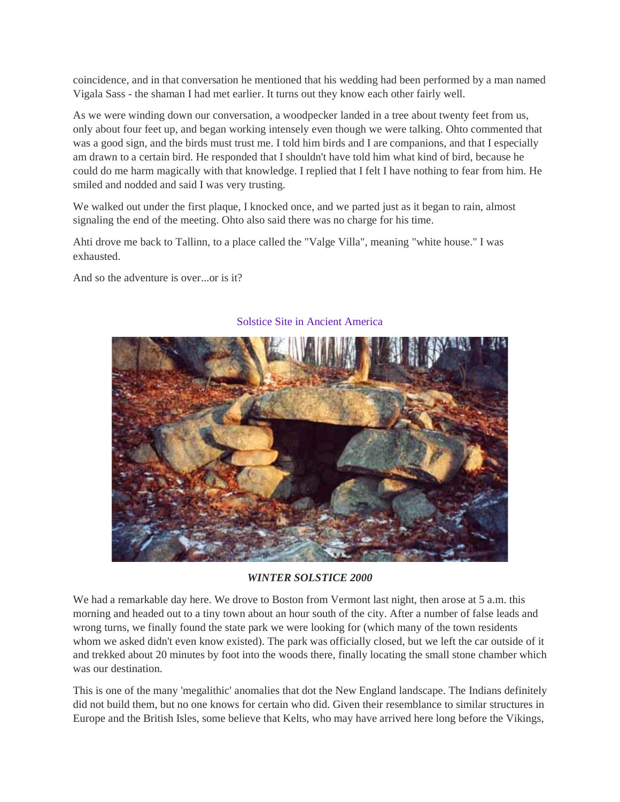coincidence, and in that conversation he mentioned that his wedding had been performed by a man named Vigala Sass - the shaman I had met earlier. It turns out they know each other fairly well.

As we were winding down our conversation, a woodpecker landed in a tree about twenty feet from us, only about four feet up, and began working intensely even though we were talking. Ohto commented that was a good sign, and the birds must trust me. I told him birds and I are companions, and that I especially am drawn to a certain bird. He responded that I shouldn't have told him what kind of bird, because he could do me harm magically with that knowledge. I replied that I felt I have nothing to fear from him. He smiled and nodded and said I was very trusting.

We walked out under the first plaque, I knocked once, and we parted just as it began to rain, almost signaling the end of the meeting. Ohto also said there was no charge for his time.

Ahti drove me back to Tallinn, to a place called the "Valge Villa", meaning "white house." I was exhausted.

And so the adventure is over...or is it?



# Solstice Site in Ancient America

## *WINTER SOLSTICE 2000*

We had a remarkable day here. We drove to Boston from Vermont last night, then arose at 5 a.m. this morning and headed out to a tiny town about an hour south of the city. After a number of false leads and wrong turns, we finally found the state park we were looking for (which many of the town residents whom we asked didn't even know existed). The park was officially closed, but we left the car outside of it and trekked about 20 minutes by foot into the woods there, finally locating the small stone chamber which was our destination.

This is one of the many 'megalithic' anomalies that dot the New England landscape. The Indians definitely did not build them, but no one knows for certain who did. Given their resemblance to similar structures in Europe and the British Isles, some believe that Kelts, who may have arrived here long before the Vikings,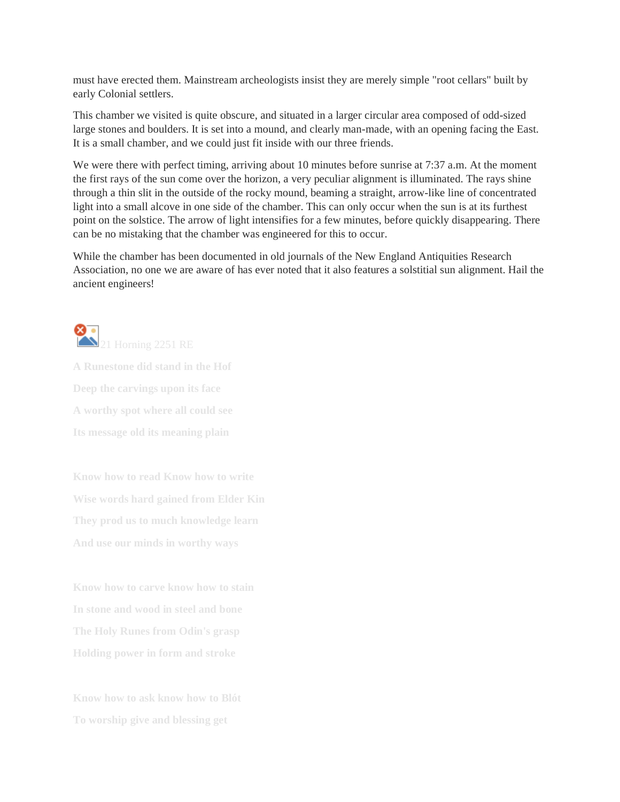must have erected them. Mainstream archeologists insist they are merely simple "root cellars" built by early Colonial settlers.

This chamber we visited is quite obscure, and situated in a larger circular area composed of odd-sized large stones and boulders. It is set into a mound, and clearly man-made, with an opening facing the East. It is a small chamber, and we could just fit inside with our three friends.

We were there with perfect timing, arriving about 10 minutes before sunrise at 7:37 a.m. At the moment the first rays of the sun come over the horizon, a very peculiar alignment is illuminated. The rays shine through a thin slit in the outside of the rocky mound, beaming a straight, arrow-like line of concentrated light into a small alcove in one side of the chamber. This can only occur when the sun is at its furthest point on the solstice. The arrow of light intensifies for a few minutes, before quickly disappearing. There can be no mistaking that the chamber was engineered for this to occur.

While the chamber has been documented in old journals of the New England Antiquities Research Association, no one we are aware of has ever noted that it also features a solstitial sun alignment. Hail the ancient engineers!



**A Runestone did stand in the Hof Deep the carvings upon its face A worthy spot where all could see Its message old its meaning plain**

**Know how to read Know how to write Wise words hard gained from Elder Kin They prod us to much knowledge learn And use our minds in worthy ways**

**Know how to carve know how to stain In stone and wood in steel and bone The Holy Runes from Odin's grasp Holding power in form and stroke**

**Know how to ask know how to Blót To worship give and blessing get**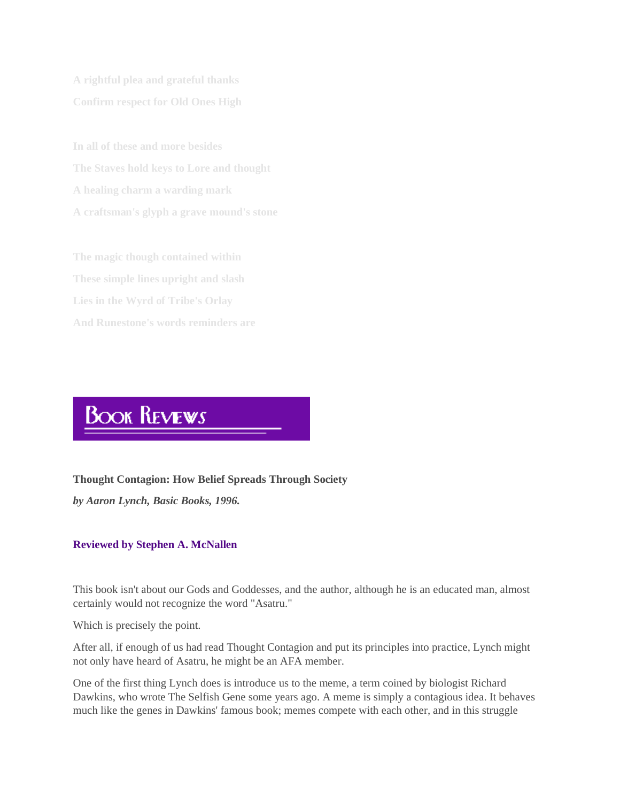**A rightful plea and grateful thanks Confirm respect for Old Ones High**

**In all of these and more besides The Staves hold keys to Lore and thought A healing charm a warding mark A craftsman's glyph a grave mound's stone**

**The magic though contained within These simple lines upright and slash Lies in the Wyrd of Tribe's Orlay And Runestone's words reminders are**

# **BOOK REVEWS**

# **Thought Contagion: How Belief Spreads Through Society**

*by Aaron Lynch, Basic Books, 1996.*

# **Reviewed by Stephen A. McNallen**

This book isn't about our Gods and Goddesses, and the author, although he is an educated man, almost certainly would not recognize the word "Asatru."

Which is precisely the point.

After all, if enough of us had read Thought Contagion and put its principles into practice, Lynch might not only have heard of Asatru, he might be an AFA member.

One of the first thing Lynch does is introduce us to the meme, a term coined by biologist Richard Dawkins, who wrote The Selfish Gene some years ago. A meme is simply a contagious idea. It behaves much like the genes in Dawkins' famous book; memes compete with each other, and in this struggle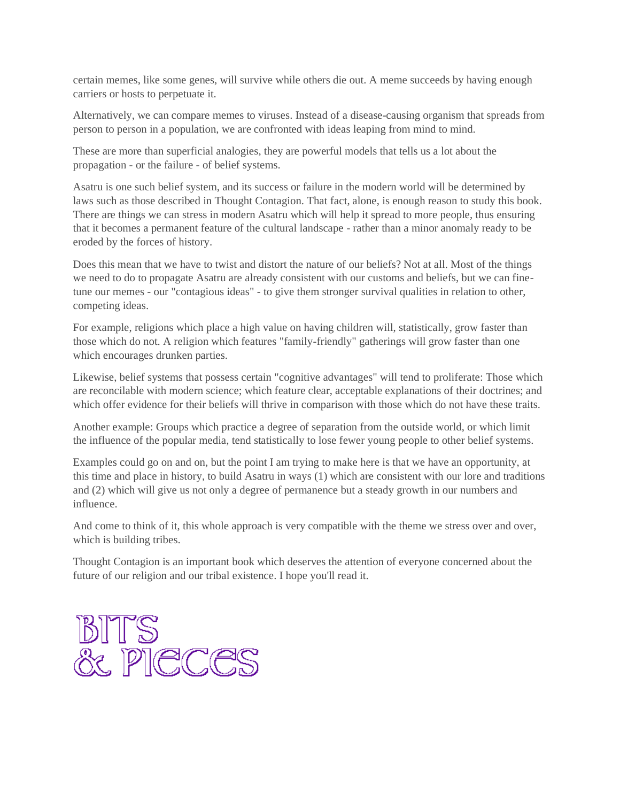certain memes, like some genes, will survive while others die out. A meme succeeds by having enough carriers or hosts to perpetuate it.

Alternatively, we can compare memes to viruses. Instead of a disease-causing organism that spreads from person to person in a population, we are confronted with ideas leaping from mind to mind.

These are more than superficial analogies, they are powerful models that tells us a lot about the propagation - or the failure - of belief systems.

Asatru is one such belief system, and its success or failure in the modern world will be determined by laws such as those described in Thought Contagion. That fact, alone, is enough reason to study this book. There are things we can stress in modern Asatru which will help it spread to more people, thus ensuring that it becomes a permanent feature of the cultural landscape - rather than a minor anomaly ready to be eroded by the forces of history.

Does this mean that we have to twist and distort the nature of our beliefs? Not at all. Most of the things we need to do to propagate Asatru are already consistent with our customs and beliefs, but we can finetune our memes - our "contagious ideas" - to give them stronger survival qualities in relation to other, competing ideas.

For example, religions which place a high value on having children will, statistically, grow faster than those which do not. A religion which features "family-friendly" gatherings will grow faster than one which encourages drunken parties.

Likewise, belief systems that possess certain "cognitive advantages" will tend to proliferate: Those which are reconcilable with modern science; which feature clear, acceptable explanations of their doctrines; and which offer evidence for their beliefs will thrive in comparison with those which do not have these traits.

Another example: Groups which practice a degree of separation from the outside world, or which limit the influence of the popular media, tend statistically to lose fewer young people to other belief systems.

Examples could go on and on, but the point I am trying to make here is that we have an opportunity, at this time and place in history, to build Asatru in ways (1) which are consistent with our lore and traditions and (2) which will give us not only a degree of permanence but a steady growth in our numbers and influence.

And come to think of it, this whole approach is very compatible with the theme we stress over and over, which is building tribes.

Thought Contagion is an important book which deserves the attention of everyone concerned about the future of our religion and our tribal existence. I hope you'll read it.

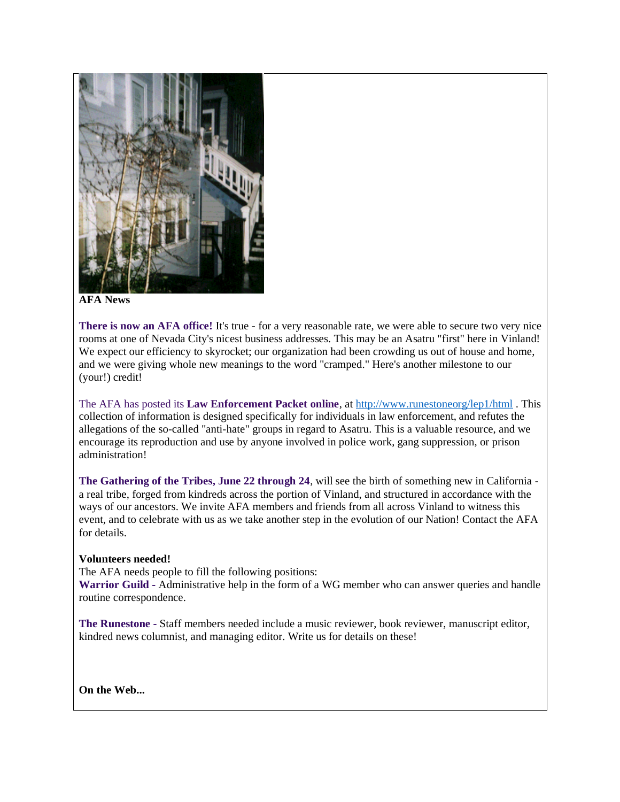

**AFA News**

**There is now an AFA office!** It's true - for a very reasonable rate, we were able to secure two very nice rooms at one of Nevada City's nicest business addresses. This may be an Asatru "first" here in Vinland! We expect our efficiency to skyrocket; our organization had been crowding us out of house and home, and we were giving whole new meanings to the word "cramped." Here's another milestone to our (your!) credit!

The AFA has posted its **Law Enforcement Packet online**, at [http://www.runestoneorg/lep1/html](https://web.archive.org/web/20010414044928/http:/www.runestoneorg/lep1/html) . This collection of information is designed specifically for individuals in law enforcement, and refutes the allegations of the so-called "anti-hate" groups in regard to Asatru. This is a valuable resource, and we encourage its reproduction and use by anyone involved in police work, gang suppression, or prison administration!

**The Gathering of the Tribes, June 22 through 24**, will see the birth of something new in California a real tribe, forged from kindreds across the portion of Vinland, and structured in accordance with the ways of our ancestors. We invite AFA members and friends from all across Vinland to witness this event, and to celebrate with us as we take another step in the evolution of our Nation! Contact the AFA for details.

## **Volunteers needed!**

The AFA needs people to fill the following positions: **Warrior Guild -** Administrative help in the form of a WG member who can answer queries and handle routine correspondence.

**The Runestone -** Staff members needed include a music reviewer, book reviewer, manuscript editor, kindred news columnist, and managing editor. Write us for details on these!

**On the Web...**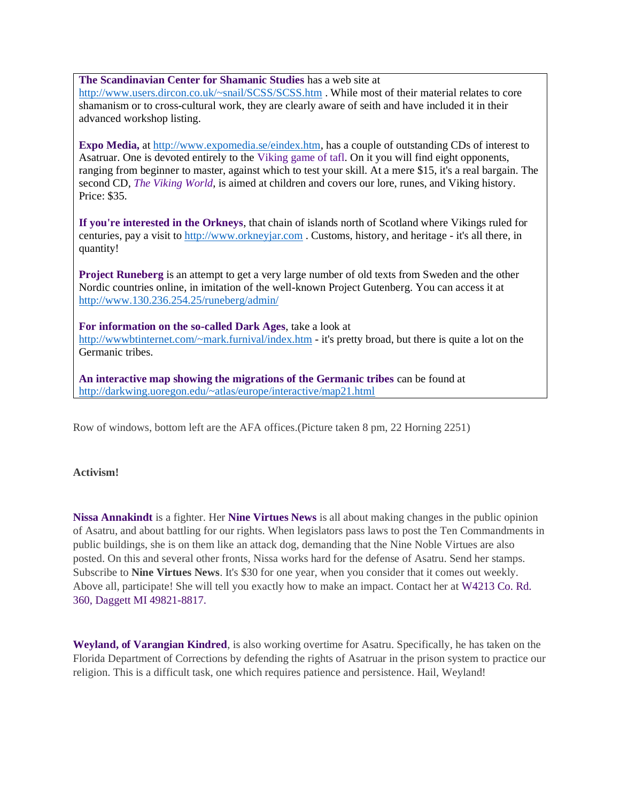**The Scandinavian Center for Shamanic Studies** has a web site at [http://www.users.dircon.co.uk/~snail/SCSS/SCSS.htm](https://web.archive.org/web/20010414044928/http:/www.users.dircon.co.uk/~snail/SCSS/SCSS.htm) . While most of their material relates to core shamanism or to cross-cultural work, they are clearly aware of seith and have included it in their advanced workshop listing.

**Expo Media,** at [http://www.expomedia.se/eindex.htm,](https://web.archive.org/web/20010414044928/http:/www.expomedia.se/eindex.htm) has a couple of outstanding CDs of interest to Asatruar. One is devoted entirely to the Viking game of tafl. On it you will find eight opponents, ranging from beginner to master, against which to test your skill. At a mere \$15, it's a real bargain. The second CD, *The Viking World*, is aimed at children and covers our lore, runes, and Viking history. Price: \$35.

**If you're interested in the Orkneys**, that chain of islands north of Scotland where Vikings ruled for centuries, pay a visit to [http://www.orkneyjar.com](https://web.archive.org/web/20010414044928/http:/www.orkneyjar.com/) . Customs, history, and heritage - it's all there, in quantity!

**Project Runeberg** is an attempt to get a very large number of old texts from Sweden and the other Nordic countries online, in imitation of the well-known Project Gutenberg. You can access it at [http://www.130.236.254.25/runeberg/admin/](https://web.archive.org/web/20010414044928/http:/www.130.236.254.25/runeberg/admin/)

**For information on the so-called Dark Ages**, take a look at [http://wwwbtinternet.com/~mark.furnival/index.htm](https://web.archive.org/web/20010414044928/http:/wwwbtinternet.com/~mark.furnival/index.htm) - it's pretty broad, but there is quite a lot on the Germanic tribes.

**An interactive map showing the migrations of the Germanic tribes** can be found at [http://darkwing.uoregon.edu/~atlas/europe/interactive/map21.html](https://web.archive.org/web/20010414044928/http:/darkwing.uoregon.edu/~atlas/europe/interactive/map21.html)

Row of windows, bottom left are the AFA offices.(Picture taken 8 pm, 22 Horning 2251)

# **Activism!**

**Nissa Annakindt** is a fighter. Her **Nine Virtues News** is all about making changes in the public opinion of Asatru, and about battling for our rights. When legislators pass laws to post the Ten Commandments in public buildings, she is on them like an attack dog, demanding that the Nine Noble Virtues are also posted. On this and several other fronts, Nissa works hard for the defense of Asatru. Send her stamps. Subscribe to **Nine Virtues News**. It's \$30 for one year, when you consider that it comes out weekly. Above all, participate! She will tell you exactly how to make an impact. Contact her at W4213 Co. Rd. 360, Daggett MI 49821-8817.

**Weyland, of Varangian Kindred**, is also working overtime for Asatru. Specifically, he has taken on the Florida Department of Corrections by defending the rights of Asatruar in the prison system to practice our religion. This is a difficult task, one which requires patience and persistence. Hail, Weyland!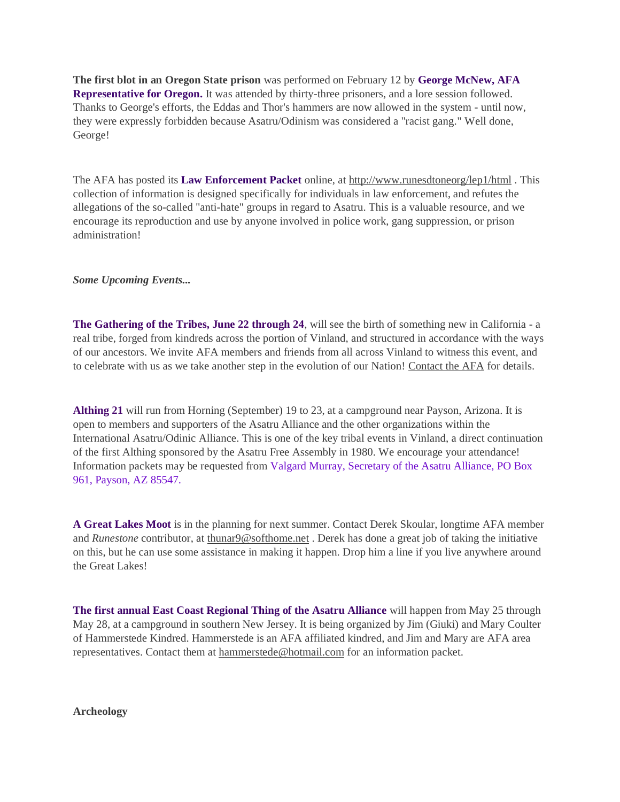**The first blot in an Oregon State prison** was performed on February 12 by **George McNew, AFA Representative for Oregon.** It was attended by thirty-three prisoners, and a lore session followed. Thanks to George's efforts, the Eddas and Thor's hammers are now allowed in the system - until now, they were expressly forbidden because Asatru/Odinism was considered a "racist gang." Well done, George!

The AFA has posted its **Law Enforcement Packet** online, a[t http://www.runesdtoneorg/lep1/html](https://web.archive.org/web/20010414044928/http:/www.runesdtoneorg/lep1/html) . This collection of information is designed specifically for individuals in law enforcement, and refutes the allegations of the so-called "anti-hate" groups in regard to Asatru. This is a valuable resource, and we encourage its reproduction and use by anyone involved in police work, gang suppression, or prison administration!

*Some Upcoming Events...*

**The Gathering of the Tribes, June 22 through 24**, will see the birth of something new in California - a real tribe, forged from kindreds across the portion of Vinland, and structured in accordance with the ways of our ancestors. We invite AFA members and friends from all across Vinland to witness this event, and to celebrate with us as we take another step in the evolution of our Nation! [Contact the AFA](https://web.archive.org/web/20010414044928/mailto:info@runestone.org) for details.

**Althing 21** will run from Horning (September) 19 to 23, at a campground near Payson, Arizona. It is open to members and supporters of the Asatru Alliance and the other organizations within the International Asatru/Odinic Alliance. This is one of the key tribal events in Vinland, a direct continuation of the first Althing sponsored by the Asatru Free Assembly in 1980. We encourage your attendance! Information packets may be requested from Valgard Murray, Secretary of the Asatru Alliance, PO Box 961, Payson, AZ 85547.

**A Great Lakes Moot** is in the planning for next summer. Contact Derek Skoular, longtime AFA member and *Runestone* contributor, at [thunar9@softhome.net](https://web.archive.org/web/20010414044928/mailto:thunar9@softhome.net) . Derek has done a great job of taking the initiative on this, but he can use some assistance in making it happen. Drop him a line if you live anywhere around the Great Lakes!

**The first annual East Coast Regional Thing of the Asatru Alliance** will happen from May 25 through May 28, at a campground in southern New Jersey. It is being organized by Jim (Giuki) and Mary Coulter of Hammerstede Kindred. Hammerstede is an AFA affiliated kindred, and Jim and Mary are AFA area representatives. Contact them at [hammerstede@hotmail.com](https://web.archive.org/web/20010414044928/mailto:hammerstede@hotmail.com) for an information packet.

**Archeology**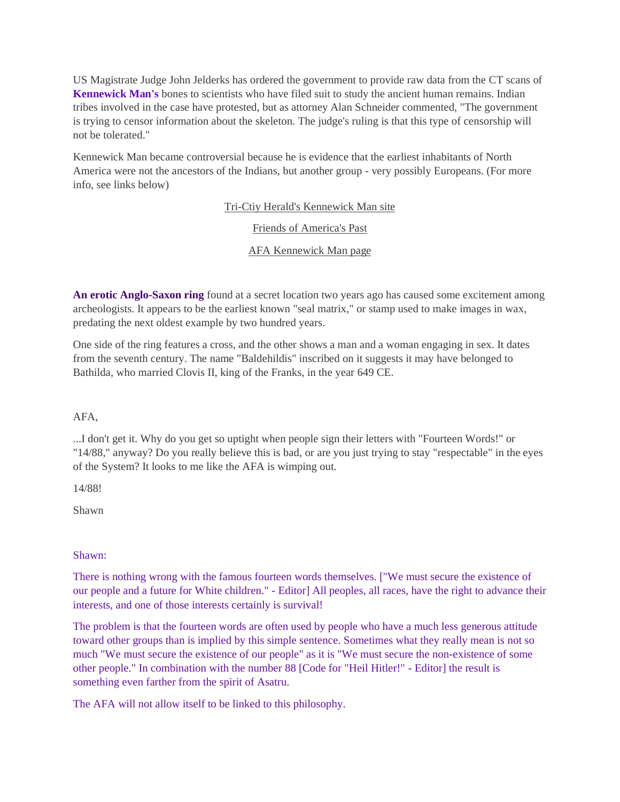US Magistrate Judge John Jelderks has ordered the government to provide raw data from the CT scans of **Kennewick Man's** bones to scientists who have filed suit to study the ancient human remains. Indian tribes involved in the case have protested, but as attorney Alan Schneider commented, "The government is trying to censor information about the skeleton. The judge's ruling is that this type of censorship will not be tolerated."

Kennewick Man became controversial because he is evidence that the earliest inhabitants of North America were not the ancestors of the Indians, but another group - very possibly Europeans. (For more info, see links below)

[Tri-Ctiy Herald's Kennewick Man site](https://web.archive.org/web/20010414044928/http:/kennewick-man.com/)

[Friends of America's Past](https://web.archive.org/web/20010414044928/http:/friendsofpast.org/)

[AFA Kennewick Man page](https://web.archive.org/web/20010414044928/http:/runestone.org/kmfile.html)

**An erotic Anglo-Saxon ring** found at a secret location two years ago has caused some excitement among archeologists. It appears to be the earliest known "seal matrix," or stamp used to make images in wax, predating the next oldest example by two hundred years.

One side of the ring features a cross, and the other shows a man and a woman engaging in sex. It dates from the seventh century. The name "Baldehildis" inscribed on it suggests it may have belonged to Bathilda, who married Clovis II, king of the Franks, in the year 649 CE.

AFA,

...I don't get it. Why do you get so uptight when people sign their letters with "Fourteen Words!" or "14/88," anyway? Do you really believe this is bad, or are you just trying to stay "respectable" in the eyes of the System? It looks to me like the AFA is wimping out.

14/88!

Shawn

Shawn:

There is nothing wrong with the famous fourteen words themselves. ["We must secure the existence of our people and a future for White children." - Editor] All peoples, all races, have the right to advance their interests, and one of those interests certainly is survival!

The problem is that the fourteen words are often used by people who have a much less generous attitude toward other groups than is implied by this simple sentence. Sometimes what they really mean is not so much "We must secure the existence of our people" as it is "We must secure the non-existence of some other people." In combination with the number 88 [Code for "Heil Hitler!" - Editor] the result is something even farther from the spirit of Asatru.

The AFA will not allow itself to be linked to this philosophy.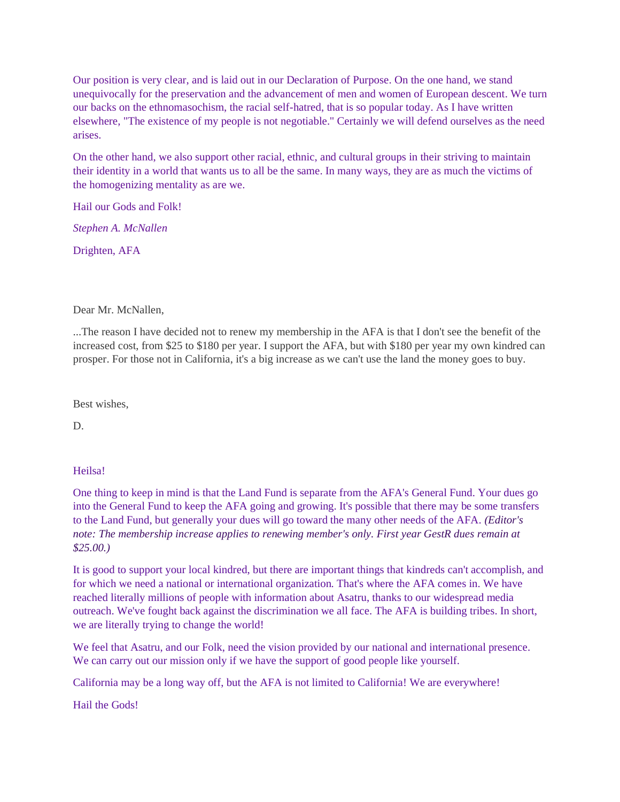Our position is very clear, and is laid out in our Declaration of Purpose. On the one hand, we stand unequivocally for the preservation and the advancement of men and women of European descent. We turn our backs on the ethnomasochism, the racial self-hatred, that is so popular today. As I have written elsewhere, "The existence of my people is not negotiable." Certainly we will defend ourselves as the need arises.

On the other hand, we also support other racial, ethnic, and cultural groups in their striving to maintain their identity in a world that wants us to all be the same. In many ways, they are as much the victims of the homogenizing mentality as are we.

Hail our Gods and Folk!

*Stephen A. McNallen*

Drighten, AFA

Dear Mr. McNallen,

...The reason I have decided not to renew my membership in the AFA is that I don't see the benefit of the increased cost, from \$25 to \$180 per year. I support the AFA, but with \$180 per year my own kindred can prosper. For those not in California, it's a big increase as we can't use the land the money goes to buy.

Best wishes,

D.

Heilsa!

One thing to keep in mind is that the Land Fund is separate from the AFA's General Fund. Your dues go into the General Fund to keep the AFA going and growing. It's possible that there may be some transfers to the Land Fund, but generally your dues will go toward the many other needs of the AFA. *(Editor's note: The membership increase applies to renewing member's only. First year GestR dues remain at \$25.00.)*

It is good to support your local kindred, but there are important things that kindreds can't accomplish, and for which we need a national or international organization. That's where the AFA comes in. We have reached literally millions of people with information about Asatru, thanks to our widespread media outreach. We've fought back against the discrimination we all face. The AFA is building tribes. In short, we are literally trying to change the world!

We feel that Asatru, and our Folk, need the vision provided by our national and international presence. We can carry out our mission only if we have the support of good people like yourself.

California may be a long way off, but the AFA is not limited to California! We are everywhere!

Hail the Gods!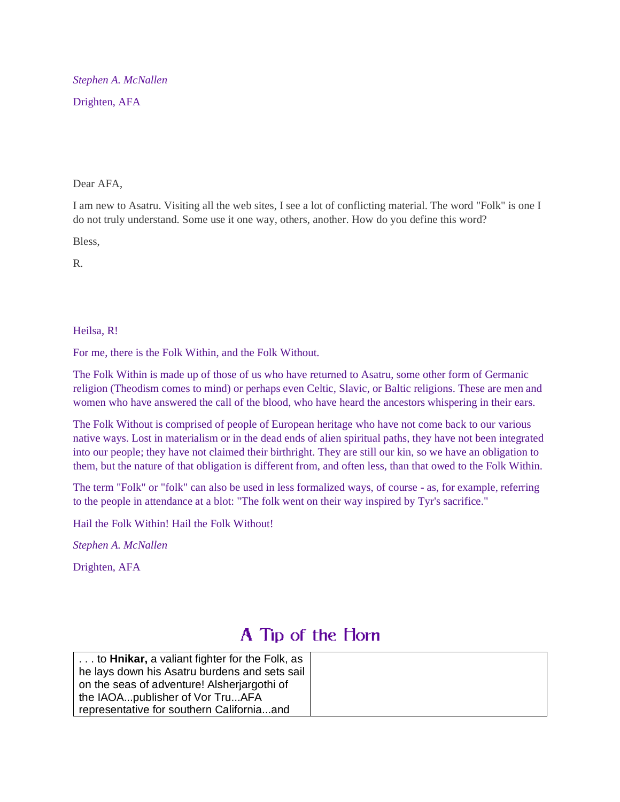*Stephen A. McNallen* Drighten, AFA

Dear AFA,

I am new to Asatru. Visiting all the web sites, I see a lot of conflicting material. The word "Folk" is one I do not truly understand. Some use it one way, others, another. How do you define this word?

Bless,

R.

Heilsa, R!

For me, there is the Folk Within, and the Folk Without.

The Folk Within is made up of those of us who have returned to Asatru, some other form of Germanic religion (Theodism comes to mind) or perhaps even Celtic, Slavic, or Baltic religions. These are men and women who have answered the call of the blood, who have heard the ancestors whispering in their ears.

The Folk Without is comprised of people of European heritage who have not come back to our various native ways. Lost in materialism or in the dead ends of alien spiritual paths, they have not been integrated into our people; they have not claimed their birthright. They are still our kin, so we have an obligation to them, but the nature of that obligation is different from, and often less, than that owed to the Folk Within.

The term "Folk" or "folk" can also be used in less formalized ways, of course - as, for example, referring to the people in attendance at a blot: "The folk went on their way inspired by Tyr's sacrifice."

Hail the Folk Within! Hail the Folk Without!

*Stephen A. McNallen*

Drighten, AFA

# A Tip of the Horn

| to <b>Hnikar</b> , a valiant fighter for the Folk, as |  |
|-------------------------------------------------------|--|
| he lays down his Asatru burdens and sets sail         |  |
| on the seas of adventure! Alsherjargothi of           |  |
| the IAOA publisher of Vor Tru AFA                     |  |
| representative for southern Californiaand             |  |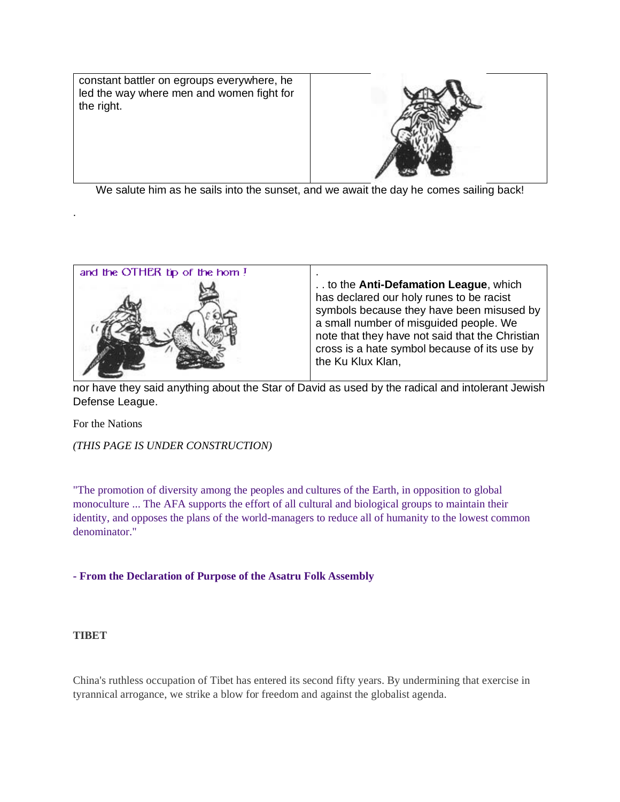constant battler on egroups everywhere, he led the way where men and women fight for the right.



We salute him as he sails into the sunset, and we await the day he comes sailing back!



nor have they said anything about the Star of David as used by the radical and intolerant Jewish Defense League.

For the Nations

.

*(THIS PAGE IS UNDER CONSTRUCTION)*

"The promotion of diversity among the peoples and cultures of the Earth, in opposition to global monoculture ... The AFA supports the effort of all cultural and biological groups to maintain their identity, and opposes the plans of the world-managers to reduce all of humanity to the lowest common denominator."

## **- From the Declaration of Purpose of the Asatru Folk Assembly**

# **TIBET**

China's ruthless occupation of Tibet has entered its second fifty years. By undermining that exercise in tyrannical arrogance, we strike a blow for freedom and against the globalist agenda.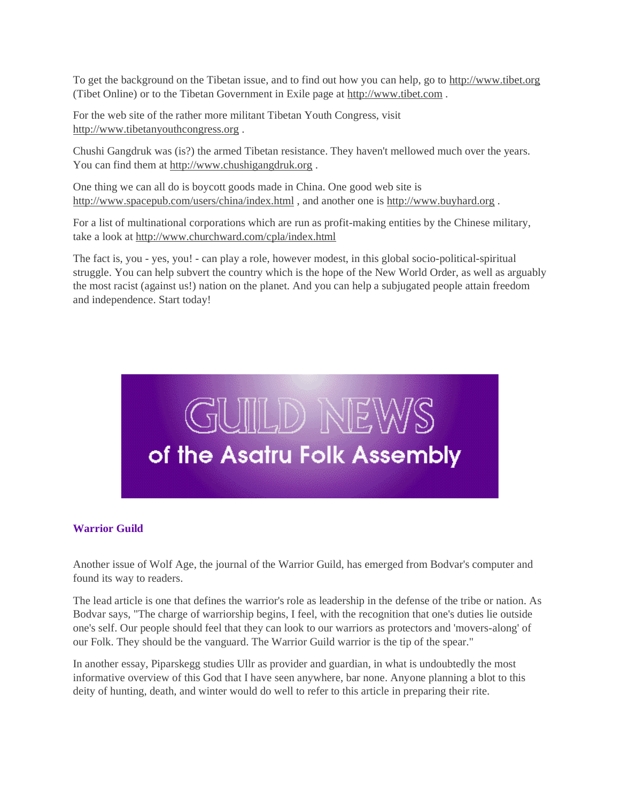To get the background on the Tibetan issue, and to find out how you can help, go t[o http://www.tibet.org](http://www.tibet.org/) (Tibet Online) or to the Tibetan Government in Exile page at [http://www.tibet.com](http://www.tibet.com/) .

For the web site of the rather more militant Tibetan Youth Congress, visit [http://www.tibetanyouthcongress.org](http://www.tibetanyouthcongress.org/) .

Chushi Gangdruk was (is?) the armed Tibetan resistance. They haven't mellowed much over the years. You can find them a[t http://www.chushigangdruk.org](http://www.chushigangdruk.org/) .

One thing we can all do is boycott goods made in China. One good web site is <http://www.spacepub.com/users/china/index.html> , and another one is [http://www.buyhard.org](http://www.buyhard.org/) .

For a list of multinational corporations which are run as profit-making entities by the Chinese military, take a look a[t http://www.churchward.com/cpla/index.html](http://www.churchward.com/cpla/index.html)

The fact is, you - yes, you! - can play a role, however modest, in this global socio-political-spiritual struggle. You can help subvert the country which is the hope of the New World Order, as well as arguably the most racist (against us!) nation on the planet. And you can help a subjugated people attain freedom and independence. Start today!



# **Warrior Guild**

Another issue of Wolf Age, the journal of the Warrior Guild, has emerged from Bodvar's computer and found its way to readers.

The lead article is one that defines the warrior's role as leadership in the defense of the tribe or nation. As Bodvar says, "The charge of warriorship begins, I feel, with the recognition that one's duties lie outside one's self. Our people should feel that they can look to our warriors as protectors and 'movers-along' of our Folk. They should be the vanguard. The Warrior Guild warrior is the tip of the spear."

In another essay, Piparskegg studies Ullr as provider and guardian, in what is undoubtedly the most informative overview of this God that I have seen anywhere, bar none. Anyone planning a blot to this deity of hunting, death, and winter would do well to refer to this article in preparing their rite.